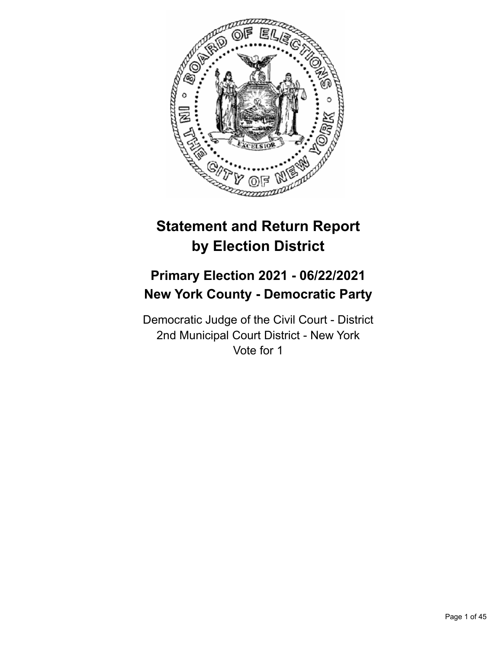

# **Statement and Return Report by Election District**

# **Primary Election 2021 - 06/22/2021 New York County - Democratic Party**

Democratic Judge of the Civil Court - District 2nd Municipal Court District - New York Vote for 1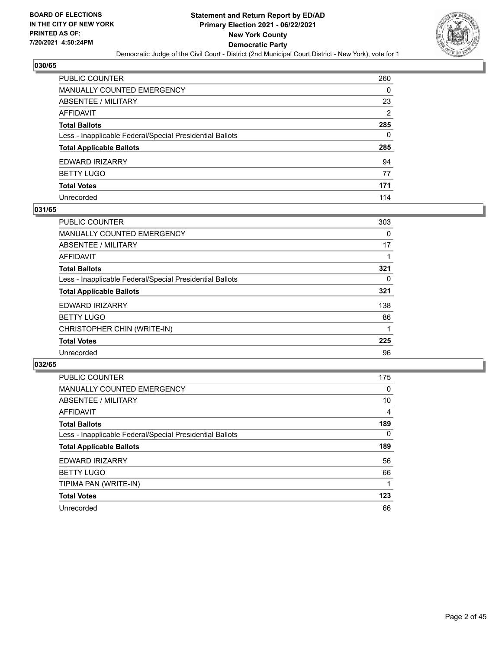

| PUBLIC COUNTER                                           | 260            |
|----------------------------------------------------------|----------------|
| MANUALLY COUNTED EMERGENCY                               | 0              |
| ABSENTEE / MILITARY                                      | 23             |
| AFFIDAVIT                                                | $\overline{2}$ |
| <b>Total Ballots</b>                                     | 285            |
| Less - Inapplicable Federal/Special Presidential Ballots | 0              |
| <b>Total Applicable Ballots</b>                          | 285            |
| EDWARD IRIZARRY                                          | 94             |
| <b>BETTY LUGO</b>                                        | 77             |
| <b>Total Votes</b>                                       | 171            |
| Unrecorded                                               | 114            |

#### **031/65**

| <b>PUBLIC COUNTER</b>                                    | 303 |
|----------------------------------------------------------|-----|
| <b>MANUALLY COUNTED EMERGENCY</b>                        | 0   |
| ABSENTEE / MILITARY                                      | 17  |
| <b>AFFIDAVIT</b>                                         |     |
| <b>Total Ballots</b>                                     | 321 |
| Less - Inapplicable Federal/Special Presidential Ballots | 0   |
| <b>Total Applicable Ballots</b>                          | 321 |
| <b>EDWARD IRIZARRY</b>                                   | 138 |
| <b>BETTY LUGO</b>                                        | 86  |
| CHRISTOPHER CHIN (WRITE-IN)                              |     |
| <b>Total Votes</b>                                       | 225 |
| Unrecorded                                               | 96  |

| PUBLIC COUNTER                                           | 175      |
|----------------------------------------------------------|----------|
| MANUALLY COUNTED EMERGENCY                               | 0        |
| ABSENTEE / MILITARY                                      | 10       |
| <b>AFFIDAVIT</b>                                         | 4        |
| <b>Total Ballots</b>                                     | 189      |
| Less - Inapplicable Federal/Special Presidential Ballots | $\Omega$ |
| <b>Total Applicable Ballots</b>                          | 189      |
| <b>EDWARD IRIZARRY</b>                                   | 56       |
| <b>BETTY LUGO</b>                                        | 66       |
| TIPIMA PAN (WRITE-IN)                                    |          |
| <b>Total Votes</b>                                       | 123      |
| Unrecorded                                               | 66       |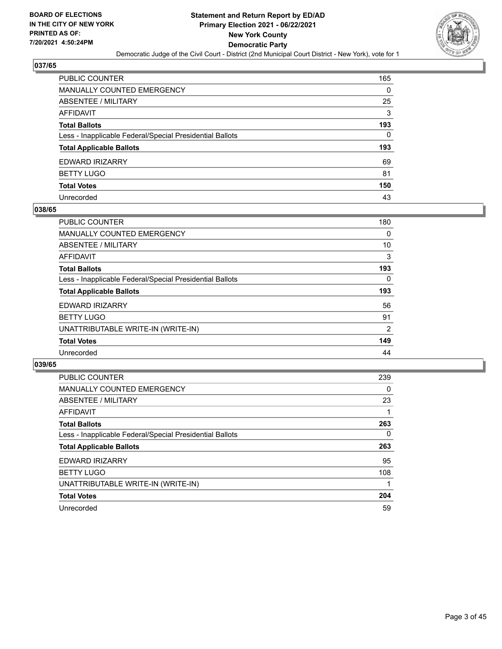

| PUBLIC COUNTER                                           | 165      |
|----------------------------------------------------------|----------|
| MANUALLY COUNTED EMERGENCY                               | 0        |
| <b>ABSENTEE / MILITARY</b>                               | 25       |
| AFFIDAVIT                                                | 3        |
| Total Ballots                                            | 193      |
| Less - Inapplicable Federal/Special Presidential Ballots | $\Omega$ |
| <b>Total Applicable Ballots</b>                          | 193      |
| EDWARD IRIZARRY                                          | 69       |
| <b>BETTY LUGO</b>                                        | 81       |
| <b>Total Votes</b>                                       | 150      |
| Unrecorded                                               | 43       |

#### **038/65**

| <b>PUBLIC COUNTER</b>                                    | 180 |
|----------------------------------------------------------|-----|
| MANUALLY COUNTED EMERGENCY                               | 0   |
| ABSENTEE / MILITARY                                      | 10  |
| <b>AFFIDAVIT</b>                                         | 3   |
| <b>Total Ballots</b>                                     | 193 |
| Less - Inapplicable Federal/Special Presidential Ballots | 0   |
| <b>Total Applicable Ballots</b>                          | 193 |
| <b>EDWARD IRIZARRY</b>                                   | 56  |
| <b>BETTY LUGO</b>                                        | 91  |
| UNATTRIBUTABLE WRITE-IN (WRITE-IN)                       | 2   |
| <b>Total Votes</b>                                       | 149 |
| Unrecorded                                               | 44  |

| <b>PUBLIC COUNTER</b>                                    | 239      |
|----------------------------------------------------------|----------|
| <b>MANUALLY COUNTED EMERGENCY</b>                        | $\Omega$ |
| ABSENTEE / MILITARY                                      | 23       |
| <b>AFFIDAVIT</b>                                         |          |
| <b>Total Ballots</b>                                     | 263      |
| Less - Inapplicable Federal/Special Presidential Ballots | $\Omega$ |
| <b>Total Applicable Ballots</b>                          | 263      |
| EDWARD IRIZARRY                                          | 95       |
| <b>BETTY LUGO</b>                                        | 108      |
| UNATTRIBUTABLE WRITE-IN (WRITE-IN)                       |          |
| <b>Total Votes</b>                                       | 204      |
| Unrecorded                                               | 59       |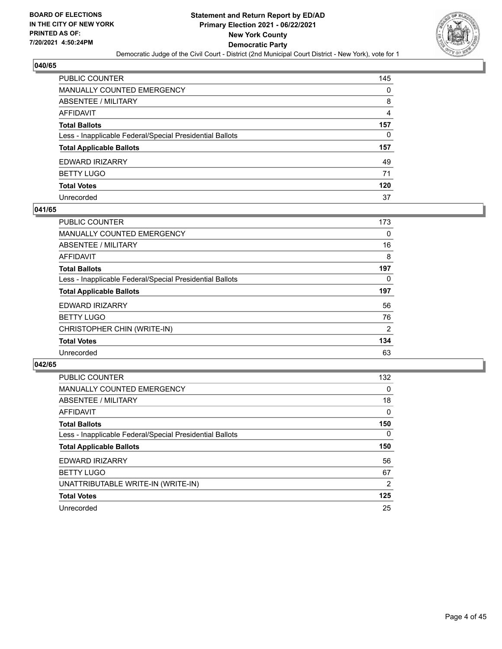

| PUBLIC COUNTER                                           | 145            |
|----------------------------------------------------------|----------------|
| MANUALLY COUNTED EMERGENCY                               | 0              |
| ABSENTEE / MILITARY                                      | 8              |
| AFFIDAVIT                                                | $\overline{4}$ |
| <b>Total Ballots</b>                                     | 157            |
| Less - Inapplicable Federal/Special Presidential Ballots | 0              |
| <b>Total Applicable Ballots</b>                          | 157            |
| EDWARD IRIZARRY                                          | 49             |
| BETTY LUGO                                               | 71             |
| <b>Total Votes</b>                                       | 120            |
| Unrecorded                                               | 37             |

#### **041/65**

| <b>PUBLIC COUNTER</b>                                    | 173 |
|----------------------------------------------------------|-----|
| <b>MANUALLY COUNTED EMERGENCY</b>                        | 0   |
| ABSENTEE / MILITARY                                      | 16  |
| <b>AFFIDAVIT</b>                                         | 8   |
| <b>Total Ballots</b>                                     | 197 |
| Less - Inapplicable Federal/Special Presidential Ballots | 0   |
| <b>Total Applicable Ballots</b>                          | 197 |
| <b>EDWARD IRIZARRY</b>                                   | 56  |
| <b>BETTY LUGO</b>                                        | 76  |
| CHRISTOPHER CHIN (WRITE-IN)                              | 2   |
| <b>Total Votes</b>                                       | 134 |
| Unrecorded                                               | 63  |

| <b>PUBLIC COUNTER</b>                                    | 132            |
|----------------------------------------------------------|----------------|
| <b>MANUALLY COUNTED EMERGENCY</b>                        | 0              |
| ABSENTEE / MILITARY                                      | 18             |
| AFFIDAVIT                                                | $\Omega$       |
| <b>Total Ballots</b>                                     | 150            |
| Less - Inapplicable Federal/Special Presidential Ballots | $\Omega$       |
| <b>Total Applicable Ballots</b>                          | 150            |
| <b>EDWARD IRIZARRY</b>                                   | 56             |
| <b>BETTY LUGO</b>                                        | 67             |
| UNATTRIBUTABLE WRITE-IN (WRITE-IN)                       | $\overline{2}$ |
| <b>Total Votes</b>                                       | 125            |
| Unrecorded                                               | 25             |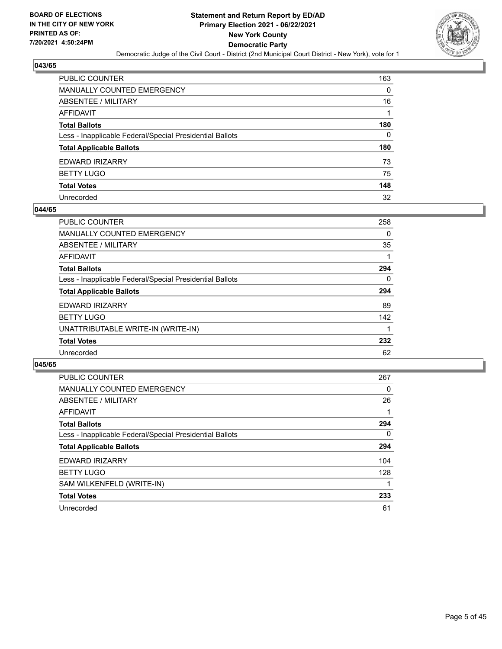

| PUBLIC COUNTER                                           | 163      |
|----------------------------------------------------------|----------|
| MANUALLY COUNTED EMERGENCY                               | 0        |
| <b>ABSENTEE / MILITARY</b>                               | 16       |
| AFFIDAVIT                                                |          |
| Total Ballots                                            | 180      |
| Less - Inapplicable Federal/Special Presidential Ballots | $\Omega$ |
| <b>Total Applicable Ballots</b>                          | 180      |
| EDWARD IRIZARRY                                          | 73       |
| <b>BETTY LUGO</b>                                        | 75       |
| <b>Total Votes</b>                                       | 148      |
| Unrecorded                                               | 32       |

#### **044/65**

| <b>PUBLIC COUNTER</b>                                    | 258      |
|----------------------------------------------------------|----------|
| MANUALLY COUNTED EMERGENCY                               | 0        |
| ABSENTEE / MILITARY                                      | 35       |
| <b>AFFIDAVIT</b>                                         |          |
| <b>Total Ballots</b>                                     | 294      |
| Less - Inapplicable Federal/Special Presidential Ballots | $\Omega$ |
| <b>Total Applicable Ballots</b>                          | 294      |
| EDWARD IRIZARRY                                          | 89       |
| <b>BETTY LUGO</b>                                        | 142      |
| UNATTRIBUTABLE WRITE-IN (WRITE-IN)                       |          |
| <b>Total Votes</b>                                       | 232      |
| Unrecorded                                               | 62       |

| <b>PUBLIC COUNTER</b>                                    | 267      |
|----------------------------------------------------------|----------|
| <b>MANUALLY COUNTED EMERGENCY</b>                        | $\Omega$ |
| ABSENTEE / MILITARY                                      | 26       |
| AFFIDAVIT                                                |          |
| <b>Total Ballots</b>                                     | 294      |
| Less - Inapplicable Federal/Special Presidential Ballots | $\Omega$ |
| <b>Total Applicable Ballots</b>                          | 294      |
| <b>EDWARD IRIZARRY</b>                                   | 104      |
| <b>BETTY LUGO</b>                                        | 128      |
| SAM WILKENFELD (WRITE-IN)                                |          |
| <b>Total Votes</b>                                       | 233      |
| Unrecorded                                               | 61       |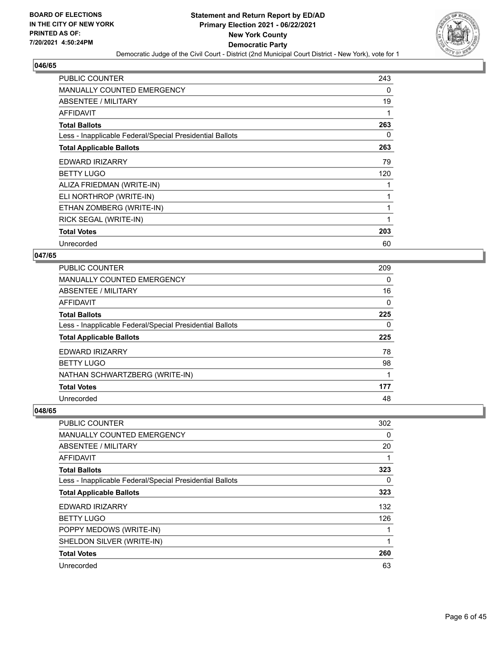

| <b>PUBLIC COUNTER</b>                                    | 243 |
|----------------------------------------------------------|-----|
| <b>MANUALLY COUNTED EMERGENCY</b>                        | 0   |
| ABSENTEE / MILITARY                                      | 19  |
| AFFIDAVIT                                                | 1   |
| <b>Total Ballots</b>                                     | 263 |
| Less - Inapplicable Federal/Special Presidential Ballots | 0   |
| <b>Total Applicable Ballots</b>                          | 263 |
| EDWARD IRIZARRY                                          | 79  |
| <b>BETTY LUGO</b>                                        | 120 |
| ALIZA FRIEDMAN (WRITE-IN)                                | 1   |
| ELI NORTHROP (WRITE-IN)                                  | 1   |
| ETHAN ZOMBERG (WRITE-IN)                                 | 1   |
| RICK SEGAL (WRITE-IN)                                    | 1   |
| <b>Total Votes</b>                                       | 203 |
| Unrecorded                                               | 60  |

## **047/65**

| <b>PUBLIC COUNTER</b>                                    | 209 |
|----------------------------------------------------------|-----|
| <b>MANUALLY COUNTED EMERGENCY</b>                        | 0   |
| ABSENTEE / MILITARY                                      | 16  |
| AFFIDAVIT                                                | 0   |
| <b>Total Ballots</b>                                     | 225 |
| Less - Inapplicable Federal/Special Presidential Ballots | 0   |
| <b>Total Applicable Ballots</b>                          | 225 |
| <b>EDWARD IRIZARRY</b>                                   | 78  |
| <b>BETTY LUGO</b>                                        | 98  |
| NATHAN SCHWARTZBERG (WRITE-IN)                           | 1   |
|                                                          |     |
| <b>Total Votes</b>                                       | 177 |

| PUBLIC COUNTER                                           | 302 |
|----------------------------------------------------------|-----|
| MANUALLY COUNTED EMERGENCY                               | 0   |
| ABSENTEE / MILITARY                                      | 20  |
| AFFIDAVIT                                                |     |
| <b>Total Ballots</b>                                     | 323 |
| Less - Inapplicable Federal/Special Presidential Ballots | 0   |
| <b>Total Applicable Ballots</b>                          | 323 |
| EDWARD IRIZARRY                                          | 132 |
| <b>BETTY LUGO</b>                                        | 126 |
| POPPY MEDOWS (WRITE-IN)                                  |     |
| SHELDON SILVER (WRITE-IN)                                |     |
| <b>Total Votes</b>                                       | 260 |
| Unrecorded                                               | 63  |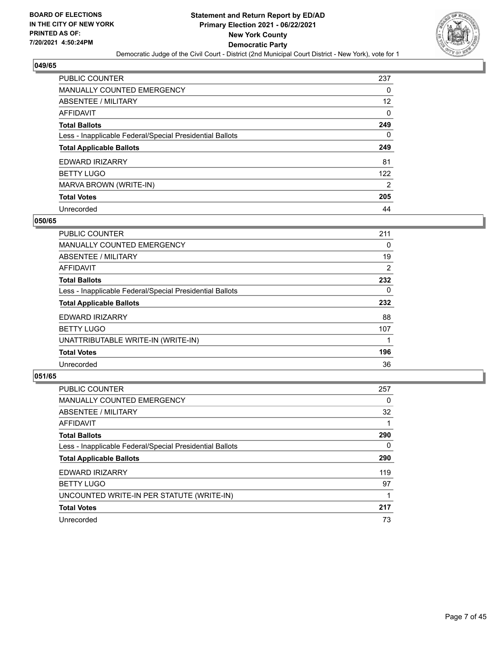

| PUBLIC COUNTER                                           | 237            |
|----------------------------------------------------------|----------------|
| <b>MANUALLY COUNTED EMERGENCY</b>                        | 0              |
| <b>ABSENTEE / MILITARY</b>                               | 12             |
| AFFIDAVIT                                                | 0              |
| <b>Total Ballots</b>                                     | 249            |
| Less - Inapplicable Federal/Special Presidential Ballots | 0              |
| <b>Total Applicable Ballots</b>                          | 249            |
| EDWARD IRIZARRY                                          | 81             |
| <b>BETTY LUGO</b>                                        | 122            |
| MARVA BROWN (WRITE-IN)                                   | $\overline{2}$ |
| <b>Total Votes</b>                                       | 205            |
| Unrecorded                                               | 44             |

#### **050/65**

| <b>PUBLIC COUNTER</b>                                    | 211      |
|----------------------------------------------------------|----------|
| <b>MANUALLY COUNTED EMERGENCY</b>                        | 0        |
| ABSENTEE / MILITARY                                      | 19       |
| <b>AFFIDAVIT</b>                                         | 2        |
| <b>Total Ballots</b>                                     | 232      |
| Less - Inapplicable Federal/Special Presidential Ballots | $\Omega$ |
| <b>Total Applicable Ballots</b>                          | 232      |
| <b>EDWARD IRIZARRY</b>                                   | 88       |
| <b>BETTY LUGO</b>                                        | 107      |
| UNATTRIBUTABLE WRITE-IN (WRITE-IN)                       |          |
| <b>Total Votes</b>                                       | 196      |
| Unrecorded                                               | 36       |

| <b>PUBLIC COUNTER</b>                                    | 257      |
|----------------------------------------------------------|----------|
| MANUALLY COUNTED EMERGENCY                               | 0        |
| ABSENTEE / MILITARY                                      | 32       |
| AFFIDAVIT                                                |          |
| <b>Total Ballots</b>                                     | 290      |
| Less - Inapplicable Federal/Special Presidential Ballots | $\Omega$ |
| <b>Total Applicable Ballots</b>                          | 290      |
| <b>EDWARD IRIZARRY</b>                                   | 119      |
| <b>BETTY LUGO</b>                                        | 97       |
| UNCOUNTED WRITE-IN PER STATUTE (WRITE-IN)                |          |
| <b>Total Votes</b>                                       | 217      |
| Unrecorded                                               | 73       |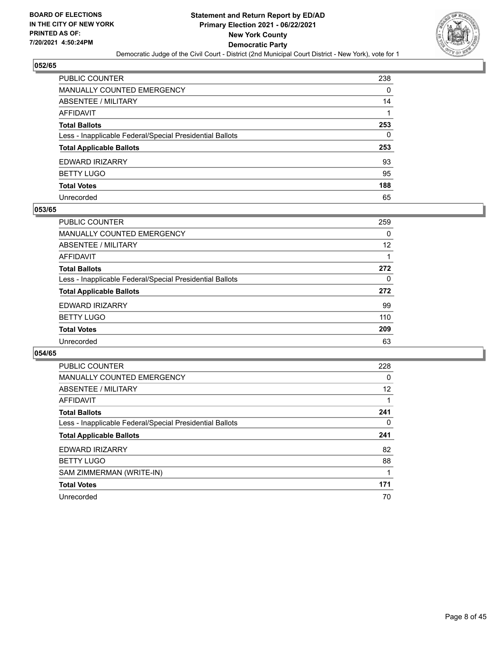

| PUBLIC COUNTER                                           | 238 |
|----------------------------------------------------------|-----|
| MANUALLY COUNTED EMERGENCY                               | 0   |
| ABSENTEE / MILITARY                                      | 14  |
| AFFIDAVIT                                                |     |
| <b>Total Ballots</b>                                     | 253 |
| Less - Inapplicable Federal/Special Presidential Ballots | 0   |
| <b>Total Applicable Ballots</b>                          | 253 |
| EDWARD IRIZARRY                                          | 93  |
| <b>BETTY LUGO</b>                                        | 95  |
| <b>Total Votes</b>                                       | 188 |
| Unrecorded                                               | 65  |

#### **053/65**

| PUBLIC COUNTER                                           | 259 |
|----------------------------------------------------------|-----|
| MANUALLY COUNTED EMERGENCY                               | 0   |
| ABSENTEE / MILITARY                                      | 12  |
| AFFIDAVIT                                                |     |
| <b>Total Ballots</b>                                     | 272 |
| Less - Inapplicable Federal/Special Presidential Ballots | 0   |
| <b>Total Applicable Ballots</b>                          | 272 |
| <b>EDWARD IRIZARRY</b>                                   | 99  |
| <b>BETTY LUGO</b>                                        | 110 |
| <b>Total Votes</b>                                       | 209 |
| Unrecorded                                               | 63  |

| <b>PUBLIC COUNTER</b>                                    | 228 |
|----------------------------------------------------------|-----|
| <b>MANUALLY COUNTED EMERGENCY</b>                        | 0   |
| <b>ABSENTEE / MILITARY</b>                               | 12  |
| <b>AFFIDAVIT</b>                                         |     |
| <b>Total Ballots</b>                                     | 241 |
| Less - Inapplicable Federal/Special Presidential Ballots | 0   |
| <b>Total Applicable Ballots</b>                          | 241 |
| <b>EDWARD IRIZARRY</b>                                   | 82  |
| <b>BETTY LUGO</b>                                        | 88  |
| SAM ZIMMERMAN (WRITE-IN)                                 |     |
|                                                          |     |
| <b>Total Votes</b>                                       | 171 |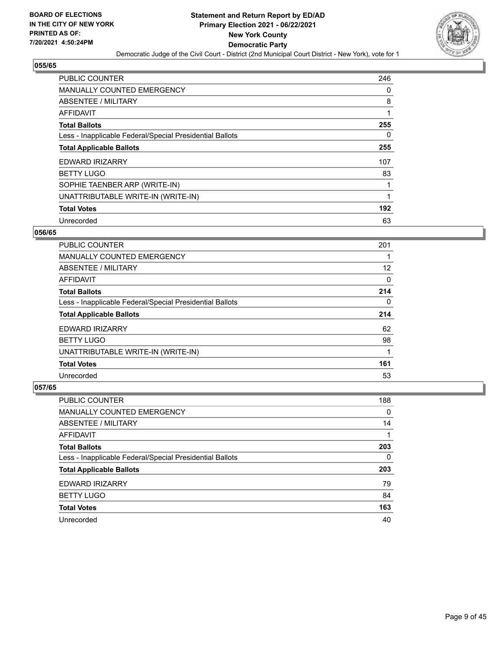

| PUBLIC COUNTER                                           | 246      |
|----------------------------------------------------------|----------|
| <b>MANUALLY COUNTED EMERGENCY</b>                        | 0        |
| ABSENTEE / MILITARY                                      | 8        |
| <b>AFFIDAVIT</b>                                         | 1        |
| <b>Total Ballots</b>                                     | 255      |
| Less - Inapplicable Federal/Special Presidential Ballots | $\Omega$ |
| <b>Total Applicable Ballots</b>                          | 255      |
| <b>EDWARD IRIZARRY</b>                                   | 107      |
| <b>BETTY LUGO</b>                                        | 83       |
| SOPHIE TAENBER ARP (WRITE-IN)                            |          |
| UNATTRIBUTABLE WRITE-IN (WRITE-IN)                       | 1        |
| <b>Total Votes</b>                                       | 192      |
| Unrecorded                                               | 63       |

#### **056/65**

| <b>PUBLIC COUNTER</b>                                    | 201      |
|----------------------------------------------------------|----------|
| <b>MANUALLY COUNTED EMERGENCY</b>                        |          |
| ABSENTEE / MILITARY                                      | 12       |
| AFFIDAVIT                                                | $\Omega$ |
| <b>Total Ballots</b>                                     | 214      |
| Less - Inapplicable Federal/Special Presidential Ballots | $\Omega$ |
| <b>Total Applicable Ballots</b>                          | 214      |
| <b>EDWARD IRIZARRY</b>                                   | 62       |
| <b>BETTY LUGO</b>                                        | 98       |
| UNATTRIBUTABLE WRITE-IN (WRITE-IN)                       |          |
| <b>Total Votes</b>                                       | 161      |
| Unrecorded                                               | 53       |

| PUBLIC COUNTER                                           | 188      |
|----------------------------------------------------------|----------|
| <b>MANUALLY COUNTED EMERGENCY</b>                        | $\Omega$ |
| ABSENTEE / MILITARY                                      | 14       |
| AFFIDAVIT                                                |          |
| <b>Total Ballots</b>                                     | 203      |
| Less - Inapplicable Federal/Special Presidential Ballots | 0        |
| <b>Total Applicable Ballots</b>                          | 203      |
| EDWARD IRIZARRY                                          | 79       |
| <b>BETTY LUGO</b>                                        | 84       |
| <b>Total Votes</b>                                       | 163      |
| Unrecorded                                               | 40       |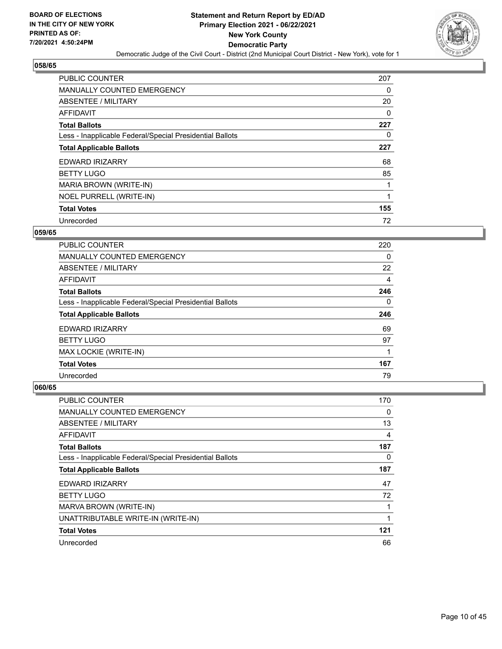

| <b>PUBLIC COUNTER</b>                                    | 207 |
|----------------------------------------------------------|-----|
| <b>MANUALLY COUNTED EMERGENCY</b>                        | 0   |
| ABSENTEE / MILITARY                                      | 20  |
| AFFIDAVIT                                                | 0   |
| <b>Total Ballots</b>                                     | 227 |
| Less - Inapplicable Federal/Special Presidential Ballots | 0   |
| <b>Total Applicable Ballots</b>                          | 227 |
| EDWARD IRIZARRY                                          | 68  |
| <b>BETTY LUGO</b>                                        | 85  |
| MARIA BROWN (WRITE-IN)                                   |     |
| NOEL PURRELL (WRITE-IN)                                  |     |
| <b>Total Votes</b>                                       | 155 |
| Unrecorded                                               | 72  |

#### **059/65**

| <b>PUBLIC COUNTER</b>                                    | 220 |
|----------------------------------------------------------|-----|
| <b>MANUALLY COUNTED EMERGENCY</b>                        | 0   |
| ABSENTEE / MILITARY                                      | 22  |
| AFFIDAVIT                                                | 4   |
| <b>Total Ballots</b>                                     | 246 |
| Less - Inapplicable Federal/Special Presidential Ballots | 0   |
| <b>Total Applicable Ballots</b>                          | 246 |
| <b>EDWARD IRIZARRY</b>                                   | 69  |
| <b>BETTY LUGO</b>                                        | 97  |
| MAX LOCKIE (WRITE-IN)                                    |     |
| <b>Total Votes</b>                                       | 167 |
| Unrecorded                                               | 79  |

| <b>PUBLIC COUNTER</b>                                    | 170 |
|----------------------------------------------------------|-----|
| <b>MANUALLY COUNTED EMERGENCY</b>                        | 0   |
| ABSENTEE / MILITARY                                      | 13  |
| AFFIDAVIT                                                | 4   |
| <b>Total Ballots</b>                                     | 187 |
| Less - Inapplicable Federal/Special Presidential Ballots | 0   |
| <b>Total Applicable Ballots</b>                          | 187 |
| EDWARD IRIZARRY                                          | 47  |
| <b>BETTY LUGO</b>                                        | 72  |
| MARVA BROWN (WRITE-IN)                                   |     |
| UNATTRIBUTABLE WRITE-IN (WRITE-IN)                       |     |
| <b>Total Votes</b>                                       | 121 |
| Unrecorded                                               | 66  |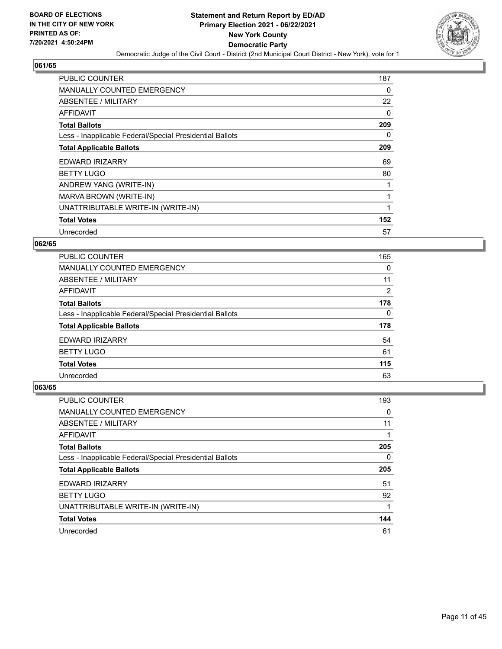

| <b>PUBLIC COUNTER</b>                                    | 187      |
|----------------------------------------------------------|----------|
| <b>MANUALLY COUNTED EMERGENCY</b>                        | $\Omega$ |
| ABSENTEE / MILITARY                                      | 22       |
| AFFIDAVIT                                                | 0        |
| <b>Total Ballots</b>                                     | 209      |
| Less - Inapplicable Federal/Special Presidential Ballots | 0        |
| <b>Total Applicable Ballots</b>                          | 209      |
| EDWARD IRIZARRY                                          | 69       |
| <b>BETTY LUGO</b>                                        | 80       |
| ANDREW YANG (WRITE-IN)                                   |          |
| MARVA BROWN (WRITE-IN)                                   | 1        |
| UNATTRIBUTABLE WRITE-IN (WRITE-IN)                       |          |
| <b>Total Votes</b>                                       | 152      |
| Unrecorded                                               | 57       |

## **062/65**

| <b>PUBLIC COUNTER</b>                                    | 165            |
|----------------------------------------------------------|----------------|
| <b>MANUALLY COUNTED EMERGENCY</b>                        | $\Omega$       |
| ABSENTEE / MILITARY                                      | 11             |
| <b>AFFIDAVIT</b>                                         | $\overline{2}$ |
| <b>Total Ballots</b>                                     | 178            |
| Less - Inapplicable Federal/Special Presidential Ballots | $\Omega$       |
| <b>Total Applicable Ballots</b>                          | 178            |
| EDWARD IRIZARRY                                          | 54             |
| <b>BETTY LUGO</b>                                        | 61             |
| <b>Total Votes</b>                                       | 115            |
| Unrecorded                                               | 63             |

| <b>PUBLIC COUNTER</b>                                    | 193 |
|----------------------------------------------------------|-----|
| <b>MANUALLY COUNTED EMERGENCY</b>                        | 0   |
| <b>ABSENTEE / MILITARY</b>                               | 11  |
| <b>AFFIDAVIT</b>                                         |     |
| <b>Total Ballots</b>                                     | 205 |
| Less - Inapplicable Federal/Special Presidential Ballots | 0   |
|                                                          |     |
| <b>Total Applicable Ballots</b>                          | 205 |
| EDWARD IRIZARRY                                          | 51  |
| <b>BETTY LUGO</b>                                        | 92  |
| UNATTRIBUTABLE WRITE-IN (WRITE-IN)                       |     |
| <b>Total Votes</b>                                       | 144 |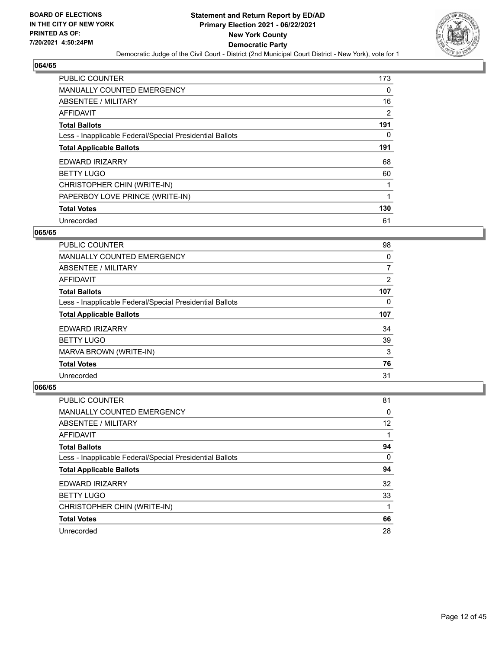

| <b>PUBLIC COUNTER</b>                                    | 173 |
|----------------------------------------------------------|-----|
| MANUALLY COUNTED EMERGENCY                               | 0   |
| ABSENTEE / MILITARY                                      | 16  |
| <b>AFFIDAVIT</b>                                         | 2   |
| <b>Total Ballots</b>                                     | 191 |
| Less - Inapplicable Federal/Special Presidential Ballots | 0   |
| <b>Total Applicable Ballots</b>                          | 191 |
| <b>EDWARD IRIZARRY</b>                                   | 68  |
| <b>BETTY LUGO</b>                                        | 60  |
| CHRISTOPHER CHIN (WRITE-IN)                              |     |
| PAPERBOY LOVE PRINCE (WRITE-IN)                          | 1   |
| <b>Total Votes</b>                                       | 130 |
| Unrecorded                                               | 61  |

#### **065/65**

| <b>PUBLIC COUNTER</b>                                    | 98  |
|----------------------------------------------------------|-----|
| <b>MANUALLY COUNTED EMERGENCY</b>                        | 0   |
| ABSENTEE / MILITARY                                      | 7   |
| AFFIDAVIT                                                | 2   |
| <b>Total Ballots</b>                                     | 107 |
| Less - Inapplicable Federal/Special Presidential Ballots | 0   |
| <b>Total Applicable Ballots</b>                          | 107 |
| <b>EDWARD IRIZARRY</b>                                   | 34  |
| <b>BETTY LUGO</b>                                        | 39  |
| MARVA BROWN (WRITE-IN)                                   | 3   |
| <b>Total Votes</b>                                       | 76  |
| Unrecorded                                               | 31  |

| <b>PUBLIC COUNTER</b>                                    | 81       |
|----------------------------------------------------------|----------|
| <b>MANUALLY COUNTED EMERGENCY</b>                        | 0        |
| ABSENTEE / MILITARY                                      | 12       |
| AFFIDAVIT                                                |          |
| <b>Total Ballots</b>                                     | 94       |
| Less - Inapplicable Federal/Special Presidential Ballots | $\Omega$ |
| <b>Total Applicable Ballots</b>                          | 94       |
| EDWARD IRIZARRY                                          | 32       |
| <b>BETTY LUGO</b>                                        | 33       |
| CHRISTOPHER CHIN (WRITE-IN)                              | 1        |
| <b>Total Votes</b>                                       | 66       |
| Unrecorded                                               | 28       |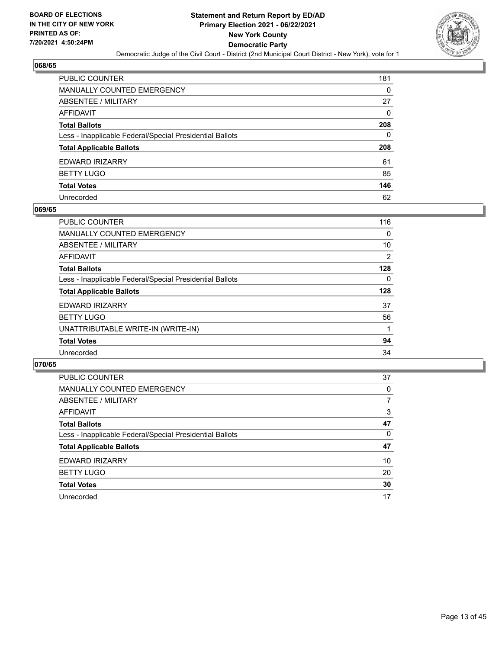

| PUBLIC COUNTER                                           | 181 |
|----------------------------------------------------------|-----|
| MANUALLY COUNTED EMERGENCY                               | 0   |
| ABSENTEE / MILITARY                                      | 27  |
| AFFIDAVIT                                                | 0   |
| <b>Total Ballots</b>                                     | 208 |
| Less - Inapplicable Federal/Special Presidential Ballots | 0   |
| <b>Total Applicable Ballots</b>                          | 208 |
| EDWARD IRIZARRY                                          | 61  |
| BETTY LUGO                                               | 85  |
| <b>Total Votes</b>                                       | 146 |
| Unrecorded                                               | 62  |

#### **069/65**

| <b>PUBLIC COUNTER</b>                                    | 116 |
|----------------------------------------------------------|-----|
| <b>MANUALLY COUNTED EMERGENCY</b>                        | 0   |
| ABSENTEE / MILITARY                                      | 10  |
| AFFIDAVIT                                                | 2   |
| <b>Total Ballots</b>                                     | 128 |
| Less - Inapplicable Federal/Special Presidential Ballots | 0   |
| <b>Total Applicable Ballots</b>                          | 128 |
| <b>EDWARD IRIZARRY</b>                                   | 37  |
| <b>BETTY LUGO</b>                                        | 56  |
| UNATTRIBUTABLE WRITE-IN (WRITE-IN)                       |     |
| <b>Total Votes</b>                                       | 94  |
| Unrecorded                                               | 34  |

| PUBLIC COUNTER                                           | 37 |
|----------------------------------------------------------|----|
| MANUALLY COUNTED EMERGENCY                               | 0  |
| ABSENTEE / MILITARY                                      | 7  |
| AFFIDAVIT                                                | 3  |
| <b>Total Ballots</b>                                     | 47 |
| Less - Inapplicable Federal/Special Presidential Ballots | 0  |
| <b>Total Applicable Ballots</b>                          | 47 |
| EDWARD IRIZARRY                                          | 10 |
| <b>BETTY LUGO</b>                                        | 20 |
| <b>Total Votes</b>                                       | 30 |
| Unrecorded                                               | 17 |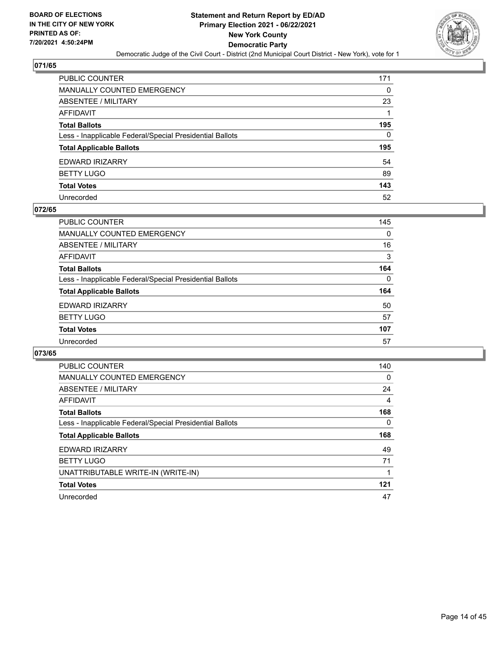

| PUBLIC COUNTER                                           | 171 |
|----------------------------------------------------------|-----|
| MANUALLY COUNTED EMERGENCY                               | 0   |
| ABSENTEE / MILITARY                                      | 23  |
| AFFIDAVIT                                                |     |
| <b>Total Ballots</b>                                     | 195 |
| Less - Inapplicable Federal/Special Presidential Ballots | 0   |
| <b>Total Applicable Ballots</b>                          | 195 |
| EDWARD IRIZARRY                                          | 54  |
| BETTY LUGO                                               | 89  |
| <b>Total Votes</b>                                       | 143 |
| Unrecorded                                               | 52  |

#### **072/65**

| <b>PUBLIC COUNTER</b>                                    | 145      |
|----------------------------------------------------------|----------|
| <b>MANUALLY COUNTED EMERGENCY</b>                        | 0        |
| ABSENTEE / MILITARY                                      | 16       |
| AFFIDAVIT                                                | 3        |
| <b>Total Ballots</b>                                     | 164      |
| Less - Inapplicable Federal/Special Presidential Ballots | $\Omega$ |
| <b>Total Applicable Ballots</b>                          | 164      |
| <b>EDWARD IRIZARRY</b>                                   | 50       |
| <b>BETTY LUGO</b>                                        | 57       |
| <b>Total Votes</b>                                       | 107      |
| Unrecorded                                               | 57       |

| <b>PUBLIC COUNTER</b>                                    | 140 |
|----------------------------------------------------------|-----|
| <b>MANUALLY COUNTED EMERGENCY</b>                        | 0   |
| ABSENTEE / MILITARY                                      | 24  |
| AFFIDAVIT                                                | 4   |
| <b>Total Ballots</b>                                     | 168 |
| Less - Inapplicable Federal/Special Presidential Ballots | 0   |
| <b>Total Applicable Ballots</b>                          | 168 |
| <b>EDWARD IRIZARRY</b>                                   | 49  |
| <b>BETTY LUGO</b>                                        | 71  |
| UNATTRIBUTABLE WRITE-IN (WRITE-IN)                       |     |
| <b>Total Votes</b>                                       | 121 |
| Unrecorded                                               | 47  |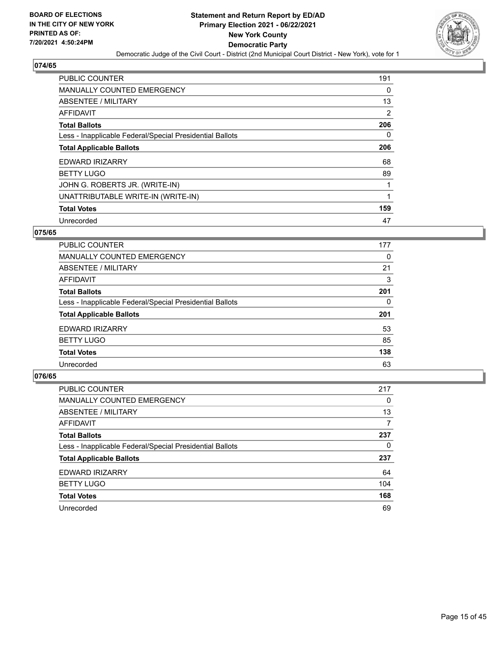

| PUBLIC COUNTER                                           | 191      |
|----------------------------------------------------------|----------|
| <b>MANUALLY COUNTED EMERGENCY</b>                        | $\Omega$ |
| ABSENTEE / MILITARY                                      | 13       |
| AFFIDAVIT                                                | 2        |
| <b>Total Ballots</b>                                     | 206      |
| Less - Inapplicable Federal/Special Presidential Ballots | $\Omega$ |
| <b>Total Applicable Ballots</b>                          | 206      |
| <b>EDWARD IRIZARRY</b>                                   | 68       |
| <b>BETTY LUGO</b>                                        | 89       |
| JOHN G. ROBERTS JR. (WRITE-IN)                           | 1        |
| UNATTRIBUTABLE WRITE-IN (WRITE-IN)                       | 1        |
| <b>Total Votes</b>                                       | 159      |
| Unrecorded                                               | 47       |

#### **075/65**

| <b>PUBLIC COUNTER</b>                                    | 177 |
|----------------------------------------------------------|-----|
| <b>MANUALLY COUNTED EMERGENCY</b>                        | 0   |
| ABSENTEE / MILITARY                                      | 21  |
| <b>AFFIDAVIT</b>                                         | 3   |
| <b>Total Ballots</b>                                     | 201 |
| Less - Inapplicable Federal/Special Presidential Ballots | 0   |
| <b>Total Applicable Ballots</b>                          | 201 |
| EDWARD IRIZARRY                                          | 53  |
| <b>BETTY LUGO</b>                                        | 85  |
| <b>Total Votes</b>                                       | 138 |
| Unrecorded                                               | 63  |

| <b>PUBLIC COUNTER</b>                                    | 217 |
|----------------------------------------------------------|-----|
| <b>MANUALLY COUNTED EMERGENCY</b>                        | 0   |
| ABSENTEE / MILITARY                                      | 13  |
| AFFIDAVIT                                                | 7   |
| <b>Total Ballots</b>                                     | 237 |
| Less - Inapplicable Federal/Special Presidential Ballots | 0   |
| <b>Total Applicable Ballots</b>                          | 237 |
| EDWARD IRIZARRY                                          | 64  |
| <b>BETTY LUGO</b>                                        | 104 |
| <b>Total Votes</b>                                       | 168 |
| Unrecorded                                               | 69  |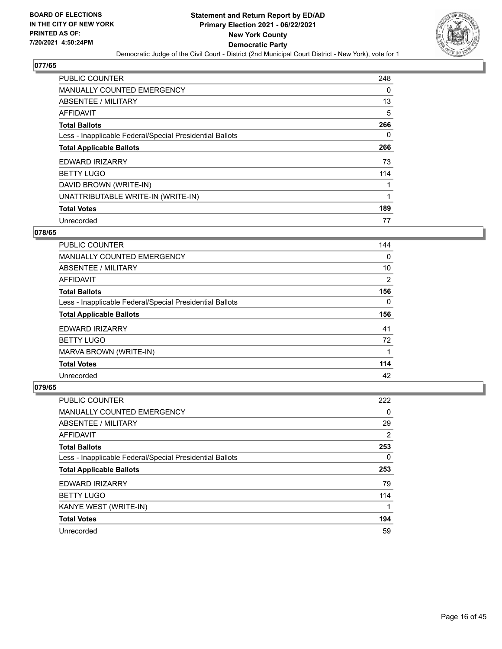

| PUBLIC COUNTER                                           | 248      |
|----------------------------------------------------------|----------|
| <b>MANUALLY COUNTED EMERGENCY</b>                        | $\Omega$ |
| ABSENTEE / MILITARY                                      | 13       |
| AFFIDAVIT                                                | 5        |
| <b>Total Ballots</b>                                     | 266      |
| Less - Inapplicable Federal/Special Presidential Ballots | 0        |
| <b>Total Applicable Ballots</b>                          | 266      |
| <b>EDWARD IRIZARRY</b>                                   | 73       |
| <b>BETTY LUGO</b>                                        | 114      |
| DAVID BROWN (WRITE-IN)                                   | 1        |
| UNATTRIBUTABLE WRITE-IN (WRITE-IN)                       | 1        |
| <b>Total Votes</b>                                       | 189      |
| Unrecorded                                               | 77       |

#### **078/65**

| <b>PUBLIC COUNTER</b>                                    | 144      |
|----------------------------------------------------------|----------|
| <b>MANUALLY COUNTED EMERGENCY</b>                        | 0        |
| ABSENTEE / MILITARY                                      | 10       |
| AFFIDAVIT                                                | 2        |
| <b>Total Ballots</b>                                     | 156      |
| Less - Inapplicable Federal/Special Presidential Ballots | $\Omega$ |
| <b>Total Applicable Ballots</b>                          | 156      |
| <b>EDWARD IRIZARRY</b>                                   | 41       |
| <b>BETTY LUGO</b>                                        | 72       |
| MARVA BROWN (WRITE-IN)                                   |          |
| <b>Total Votes</b>                                       | 114      |
| Unrecorded                                               | 42       |

| <b>PUBLIC COUNTER</b>                                    | 222 |
|----------------------------------------------------------|-----|
| <b>MANUALLY COUNTED EMERGENCY</b>                        | 0   |
| ABSENTEE / MILITARY                                      | 29  |
| AFFIDAVIT                                                | 2   |
| <b>Total Ballots</b>                                     | 253 |
| Less - Inapplicable Federal/Special Presidential Ballots | 0   |
| <b>Total Applicable Ballots</b>                          | 253 |
| EDWARD IRIZARRY                                          | 79  |
| <b>BETTY LUGO</b>                                        | 114 |
| KANYE WEST (WRITE-IN)                                    |     |
| <b>Total Votes</b>                                       | 194 |
| Unrecorded                                               | 59  |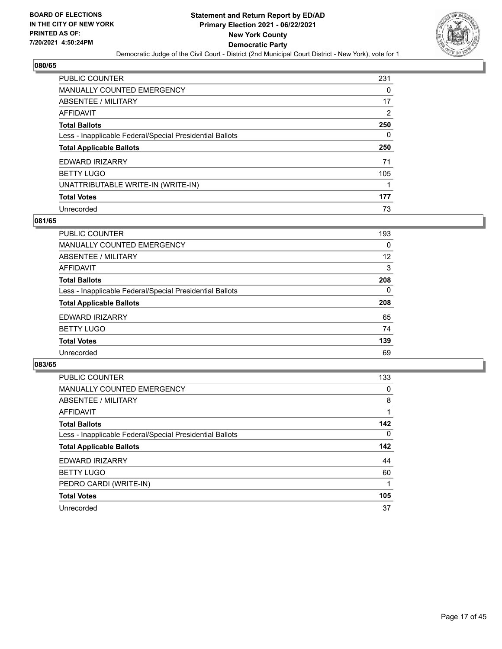

| PUBLIC COUNTER                                           | 231 |
|----------------------------------------------------------|-----|
| <b>MANUALLY COUNTED EMERGENCY</b>                        | 0   |
| <b>ABSENTEE / MILITARY</b>                               | 17  |
| <b>AFFIDAVIT</b>                                         | 2   |
| <b>Total Ballots</b>                                     | 250 |
| Less - Inapplicable Federal/Special Presidential Ballots | 0   |
| <b>Total Applicable Ballots</b>                          | 250 |
| EDWARD IRIZARRY                                          | 71  |
| <b>BETTY LUGO</b>                                        | 105 |
| UNATTRIBUTABLE WRITE-IN (WRITE-IN)                       |     |
|                                                          |     |
| <b>Total Votes</b>                                       | 177 |

#### **081/65**

| <b>PUBLIC COUNTER</b>                                    | 193      |
|----------------------------------------------------------|----------|
| MANUALLY COUNTED EMERGENCY                               | $\Omega$ |
| ABSENTEE / MILITARY                                      | 12       |
| <b>AFFIDAVIT</b>                                         | 3        |
| <b>Total Ballots</b>                                     | 208      |
| Less - Inapplicable Federal/Special Presidential Ballots | $\Omega$ |
| <b>Total Applicable Ballots</b>                          | 208      |
| EDWARD IRIZARRY                                          | 65       |
| <b>BETTY LUGO</b>                                        | 74       |
| <b>Total Votes</b>                                       | 139      |
| Unrecorded                                               | 69       |

| PUBLIC COUNTER                                           | 133      |
|----------------------------------------------------------|----------|
| <b>MANUALLY COUNTED EMERGENCY</b>                        | 0        |
| ABSENTEE / MILITARY                                      | 8        |
| <b>AFFIDAVIT</b>                                         |          |
| <b>Total Ballots</b>                                     | 142      |
| Less - Inapplicable Federal/Special Presidential Ballots | $\Omega$ |
| <b>Total Applicable Ballots</b>                          | 142      |
| EDWARD IRIZARRY                                          | 44       |
| <b>BETTY LUGO</b>                                        | 60       |
| PEDRO CARDI (WRITE-IN)                                   |          |
| <b>Total Votes</b>                                       | 105      |
| Unrecorded                                               | 37       |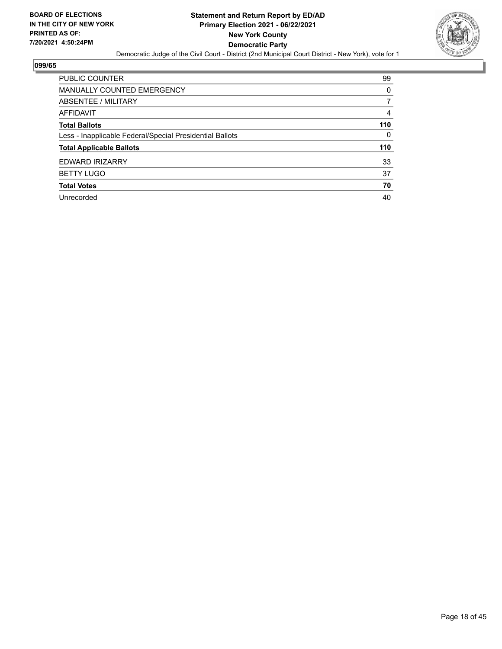

| <b>PUBLIC COUNTER</b>                                    | 99  |
|----------------------------------------------------------|-----|
| <b>MANUALLY COUNTED EMERGENCY</b>                        | 0   |
| ABSENTEE / MILITARY                                      | 7   |
| AFFIDAVIT                                                | 4   |
| <b>Total Ballots</b>                                     | 110 |
| Less - Inapplicable Federal/Special Presidential Ballots | 0   |
| <b>Total Applicable Ballots</b>                          | 110 |
| <b>EDWARD IRIZARRY</b>                                   | 33  |
| <b>BETTY LUGO</b>                                        | 37  |
| <b>Total Votes</b>                                       | 70  |
| Unrecorded                                               | 40  |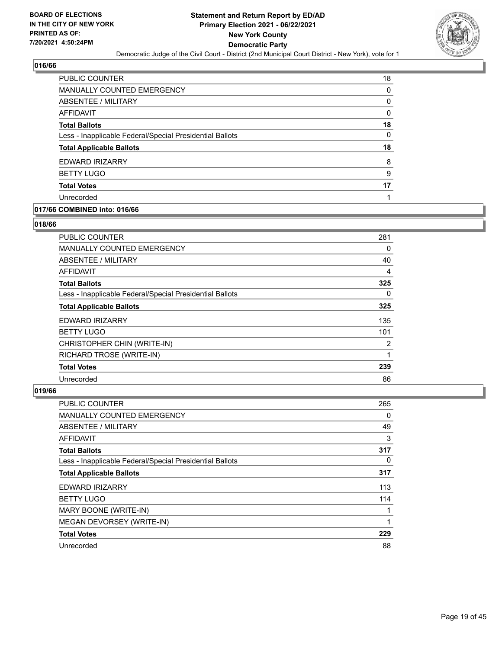

| PUBLIC COUNTER                                           | 18 |
|----------------------------------------------------------|----|
| <b>MANUALLY COUNTED EMERGENCY</b>                        | 0  |
| ABSENTEE / MILITARY                                      | 0  |
| AFFIDAVIT                                                | 0  |
| <b>Total Ballots</b>                                     | 18 |
| Less - Inapplicable Federal/Special Presidential Ballots | 0  |
| <b>Total Applicable Ballots</b>                          | 18 |
| EDWARD IRIZARRY                                          | 8  |
| <b>BETTY LUGO</b>                                        | 9  |
| <b>Total Votes</b>                                       | 17 |
| Unrecorded                                               |    |

## **017/66 COMBINED into: 016/66**

#### **018/66**

| PUBLIC COUNTER                                           | 281      |
|----------------------------------------------------------|----------|
| <b>MANUALLY COUNTED EMERGENCY</b>                        | 0        |
| ABSENTEE / MILITARY                                      | 40       |
| AFFIDAVIT                                                | 4        |
| <b>Total Ballots</b>                                     | 325      |
| Less - Inapplicable Federal/Special Presidential Ballots | $\Omega$ |
| <b>Total Applicable Ballots</b>                          | 325      |
| EDWARD IRIZARRY                                          | 135      |
| <b>BETTY LUGO</b>                                        | 101      |
| CHRISTOPHER CHIN (WRITE-IN)                              | 2        |
| RICHARD TROSE (WRITE-IN)                                 | 1        |
| <b>Total Votes</b>                                       | 239      |
| Unrecorded                                               | 86       |

| <b>PUBLIC COUNTER</b>                                    | 265      |
|----------------------------------------------------------|----------|
| MANUALLY COUNTED EMERGENCY                               | 0        |
| ABSENTEE / MILITARY                                      | 49       |
| AFFIDAVIT                                                | 3        |
| <b>Total Ballots</b>                                     | 317      |
| Less - Inapplicable Federal/Special Presidential Ballots | $\Omega$ |
| <b>Total Applicable Ballots</b>                          | 317      |
| EDWARD IRIZARRY                                          | 113      |
| <b>BETTY LUGO</b>                                        | 114      |
| MARY BOONE (WRITE-IN)                                    | 1        |
| MEGAN DEVORSEY (WRITE-IN)                                | 1        |
| <b>Total Votes</b>                                       | 229      |
| Unrecorded                                               | 88       |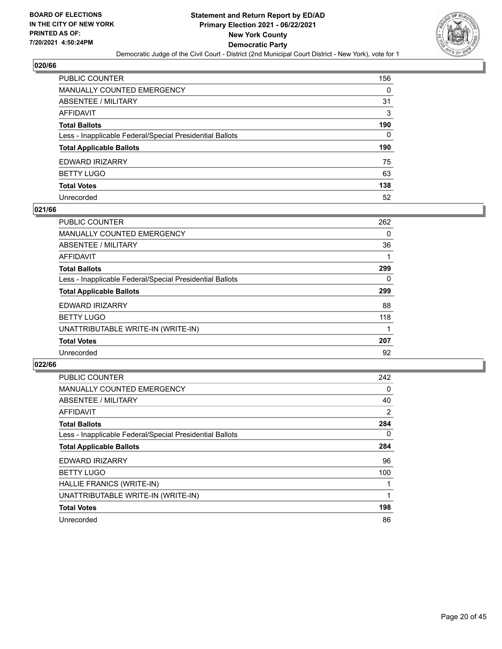

| PUBLIC COUNTER                                           | 156 |
|----------------------------------------------------------|-----|
| MANUALLY COUNTED EMERGENCY                               | 0   |
| ABSENTEE / MILITARY                                      | 31  |
| AFFIDAVIT                                                | 3   |
| Total Ballots                                            | 190 |
| Less - Inapplicable Federal/Special Presidential Ballots | 0   |
| <b>Total Applicable Ballots</b>                          | 190 |
| EDWARD IRIZARRY                                          | 75  |
| <b>BETTY LUGO</b>                                        | 63  |
| <b>Total Votes</b>                                       | 138 |
| Unrecorded                                               | 52  |

#### **021/66**

| <b>PUBLIC COUNTER</b>                                    | 262 |
|----------------------------------------------------------|-----|
| <b>MANUALLY COUNTED EMERGENCY</b>                        | 0   |
| ABSENTEE / MILITARY                                      | 36  |
| AFFIDAVIT                                                |     |
| <b>Total Ballots</b>                                     | 299 |
| Less - Inapplicable Federal/Special Presidential Ballots | 0   |
| <b>Total Applicable Ballots</b>                          | 299 |
| EDWARD IRIZARRY                                          | 88  |
| <b>BETTY LUGO</b>                                        | 118 |
| UNATTRIBUTABLE WRITE-IN (WRITE-IN)                       |     |
| <b>Total Votes</b>                                       | 207 |
| Unrecorded                                               | 92  |

| <b>PUBLIC COUNTER</b>                                    | 242 |
|----------------------------------------------------------|-----|
| <b>MANUALLY COUNTED EMERGENCY</b>                        | 0   |
| ABSENTEE / MILITARY                                      | 40  |
| <b>AFFIDAVIT</b>                                         | 2   |
| <b>Total Ballots</b>                                     | 284 |
| Less - Inapplicable Federal/Special Presidential Ballots | 0   |
| <b>Total Applicable Ballots</b>                          | 284 |
| <b>EDWARD IRIZARRY</b>                                   | 96  |
| <b>BETTY LUGO</b>                                        | 100 |
| HALLIE FRANICS (WRITE-IN)                                |     |
| UNATTRIBUTABLE WRITE-IN (WRITE-IN)                       |     |
| <b>Total Votes</b>                                       | 198 |
| Unrecorded                                               | 86  |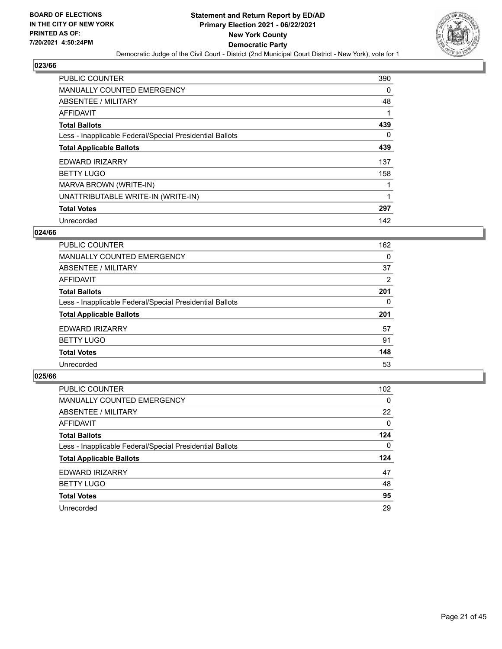

| <b>PUBLIC COUNTER</b>                                    | 390      |
|----------------------------------------------------------|----------|
| MANUALLY COUNTED EMERGENCY                               | 0        |
| ABSENTEE / MILITARY                                      | 48       |
| AFFIDAVIT                                                |          |
| <b>Total Ballots</b>                                     | 439      |
| Less - Inapplicable Federal/Special Presidential Ballots | $\Omega$ |
| <b>Total Applicable Ballots</b>                          | 439      |
| EDWARD IRIZARRY                                          | 137      |
| <b>BETTY LUGO</b>                                        | 158      |
| MARVA BROWN (WRITE-IN)                                   |          |
| UNATTRIBUTABLE WRITE-IN (WRITE-IN)                       |          |
| <b>Total Votes</b>                                       | 297      |
| Unrecorded                                               | 142      |

#### **024/66**

| PUBLIC COUNTER                                           | 162 |
|----------------------------------------------------------|-----|
| <b>MANUALLY COUNTED EMERGENCY</b>                        | 0   |
| ABSENTEE / MILITARY                                      | 37  |
| <b>AFFIDAVIT</b>                                         | 2   |
| <b>Total Ballots</b>                                     | 201 |
| Less - Inapplicable Federal/Special Presidential Ballots | 0   |
| <b>Total Applicable Ballots</b>                          | 201 |
| EDWARD IRIZARRY                                          | 57  |
| <b>BETTY LUGO</b>                                        | 91  |
| <b>Total Votes</b>                                       | 148 |
| Unrecorded                                               | 53  |

| <b>PUBLIC COUNTER</b>                                    | 102 <sub>1</sub> |
|----------------------------------------------------------|------------------|
| <b>MANUALLY COUNTED EMERGENCY</b>                        | $\Omega$         |
| ABSENTEE / MILITARY                                      | 22               |
| AFFIDAVIT                                                | $\Omega$         |
| <b>Total Ballots</b>                                     | 124              |
| Less - Inapplicable Federal/Special Presidential Ballots | 0                |
| <b>Total Applicable Ballots</b>                          | 124              |
| EDWARD IRIZARRY                                          | 47               |
| <b>BETTY LUGO</b>                                        | 48               |
| <b>Total Votes</b>                                       | 95               |
| Unrecorded                                               | 29               |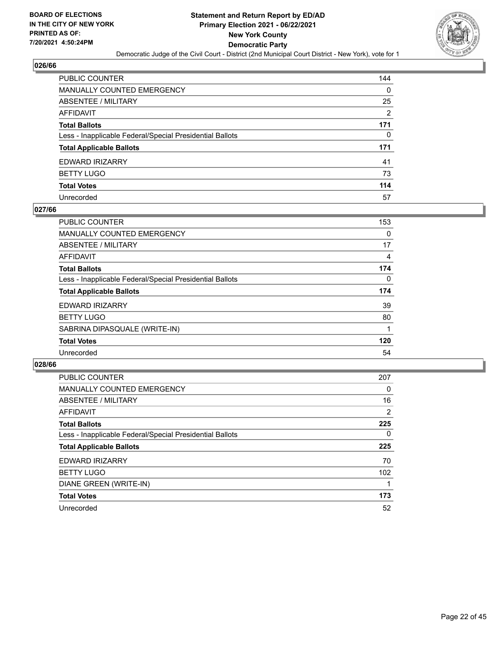

| PUBLIC COUNTER                                           | 144            |
|----------------------------------------------------------|----------------|
| MANUALLY COUNTED EMERGENCY                               | 0              |
| ABSENTEE / MILITARY                                      | 25             |
| AFFIDAVIT                                                | $\overline{2}$ |
| Total Ballots                                            | 171            |
| Less - Inapplicable Federal/Special Presidential Ballots | 0              |
| <b>Total Applicable Ballots</b>                          | 171            |
| EDWARD IRIZARRY                                          | 41             |
| <b>BETTY LUGO</b>                                        | 73             |
| <b>Total Votes</b>                                       | 114            |
| Unrecorded                                               | 57             |

#### **027/66**

| <b>PUBLIC COUNTER</b>                                    | 153 |
|----------------------------------------------------------|-----|
| MANUALLY COUNTED EMERGENCY                               | 0   |
| ABSENTEE / MILITARY                                      | 17  |
| <b>AFFIDAVIT</b>                                         | 4   |
| <b>Total Ballots</b>                                     | 174 |
| Less - Inapplicable Federal/Special Presidential Ballots | 0   |
| <b>Total Applicable Ballots</b>                          | 174 |
| <b>EDWARD IRIZARRY</b>                                   | 39  |
| <b>BETTY LUGO</b>                                        | 80  |
| SABRINA DIPASQUALE (WRITE-IN)                            |     |
| <b>Total Votes</b>                                       | 120 |
| Unrecorded                                               | 54  |

| PUBLIC COUNTER                                           | 207              |
|----------------------------------------------------------|------------------|
| <b>MANUALLY COUNTED EMERGENCY</b>                        | 0                |
| ABSENTEE / MILITARY                                      | 16               |
| <b>AFFIDAVIT</b>                                         | $\overline{2}$   |
| <b>Total Ballots</b>                                     | 225              |
| Less - Inapplicable Federal/Special Presidential Ballots | $\Omega$         |
| <b>Total Applicable Ballots</b>                          | 225              |
| <b>EDWARD IRIZARRY</b>                                   | 70               |
| <b>BETTY LUGO</b>                                        | 102 <sub>1</sub> |
| DIANE GREEN (WRITE-IN)                                   |                  |
| <b>Total Votes</b>                                       | 173              |
| Unrecorded                                               | 52               |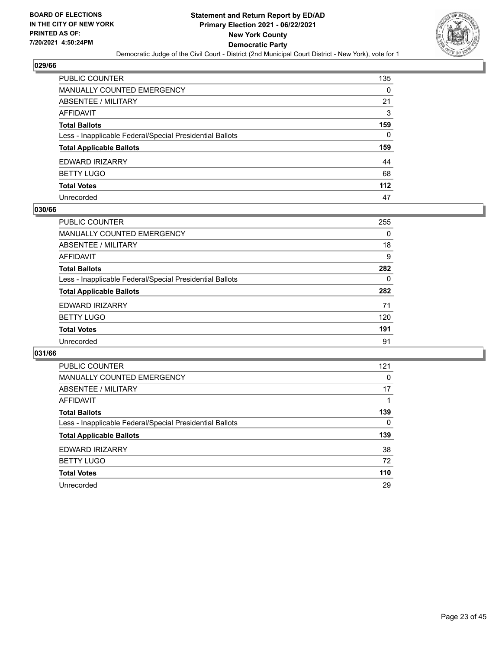

| PUBLIC COUNTER                                           | 135      |
|----------------------------------------------------------|----------|
| MANUALLY COUNTED EMERGENCY                               | 0        |
| <b>ABSENTEE / MILITARY</b>                               | 21       |
| AFFIDAVIT                                                | 3        |
| Total Ballots                                            | 159      |
| Less - Inapplicable Federal/Special Presidential Ballots | $\Omega$ |
| <b>Total Applicable Ballots</b>                          | 159      |
| EDWARD IRIZARRY                                          | 44       |
| <b>BETTY LUGO</b>                                        | 68       |
| <b>Total Votes</b>                                       | $112$    |
| Unrecorded                                               | 47       |

#### **030/66**

| <b>PUBLIC COUNTER</b>                                    | 255 |
|----------------------------------------------------------|-----|
| MANUALLY COUNTED EMERGENCY                               | 0   |
| ABSENTEE / MILITARY                                      | 18  |
| AFFIDAVIT                                                | 9   |
| <b>Total Ballots</b>                                     | 282 |
| Less - Inapplicable Federal/Special Presidential Ballots | 0   |
| <b>Total Applicable Ballots</b>                          | 282 |
| <b>EDWARD IRIZARRY</b>                                   | 71  |
| <b>BETTY LUGO</b>                                        | 120 |
| <b>Total Votes</b>                                       | 191 |
| Unrecorded                                               | 91  |

| PUBLIC COUNTER                                           | 121      |
|----------------------------------------------------------|----------|
| <b>MANUALLY COUNTED EMERGENCY</b>                        | 0        |
| ABSENTEE / MILITARY                                      | 17       |
| AFFIDAVIT                                                |          |
| <b>Total Ballots</b>                                     | 139      |
| Less - Inapplicable Federal/Special Presidential Ballots | $\Omega$ |
| <b>Total Applicable Ballots</b>                          | 139      |
| EDWARD IRIZARRY                                          | 38       |
| <b>BETTY LUGO</b>                                        | 72       |
| <b>Total Votes</b>                                       | 110      |
| Unrecorded                                               | 29       |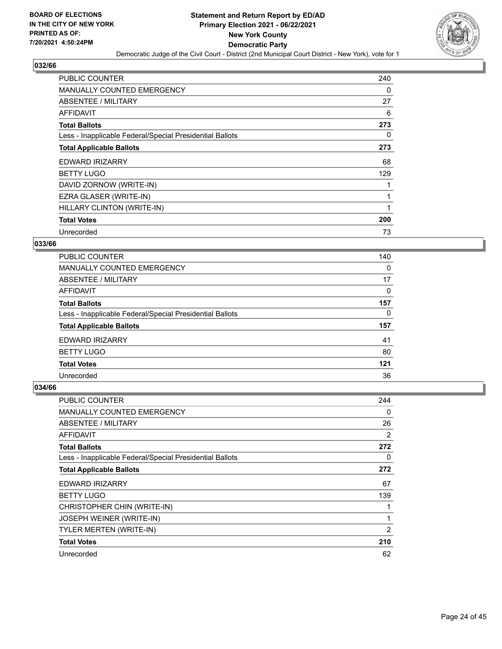

| <b>PUBLIC COUNTER</b>                                    | 240      |
|----------------------------------------------------------|----------|
| <b>MANUALLY COUNTED EMERGENCY</b>                        | 0        |
| ABSENTEE / MILITARY                                      | 27       |
| AFFIDAVIT                                                | 6        |
| <b>Total Ballots</b>                                     | 273      |
| Less - Inapplicable Federal/Special Presidential Ballots | $\Omega$ |
| <b>Total Applicable Ballots</b>                          | 273      |
| <b>EDWARD IRIZARRY</b>                                   | 68       |
| <b>BETTY LUGO</b>                                        | 129      |
| DAVID ZORNOW (WRITE-IN)                                  |          |
| EZRA GLASER (WRITE-IN)                                   |          |
| HILLARY CLINTON (WRITE-IN)                               |          |
| <b>Total Votes</b>                                       | 200      |
| Unrecorded                                               | 73       |

#### **033/66**

| <b>PUBLIC COUNTER</b>                                    | 140 |
|----------------------------------------------------------|-----|
| <b>MANUALLY COUNTED EMERGENCY</b>                        | 0   |
| ABSENTEE / MILITARY                                      | 17  |
| <b>AFFIDAVIT</b>                                         | 0   |
| <b>Total Ballots</b>                                     | 157 |
| Less - Inapplicable Federal/Special Presidential Ballots | 0   |
| <b>Total Applicable Ballots</b>                          | 157 |
| <b>EDWARD IRIZARRY</b>                                   | 41  |
| <b>BETTY LUGO</b>                                        | 80  |
| <b>Total Votes</b>                                       | 121 |
| Unrecorded                                               | 36  |

| PUBLIC COUNTER                                           | 244      |
|----------------------------------------------------------|----------|
| <b>MANUALLY COUNTED EMERGENCY</b>                        | 0        |
| ABSENTEE / MILITARY                                      | 26       |
| AFFIDAVIT                                                | 2        |
| <b>Total Ballots</b>                                     | 272      |
| Less - Inapplicable Federal/Special Presidential Ballots | $\Omega$ |
| <b>Total Applicable Ballots</b>                          | 272      |
| EDWARD IRIZARRY                                          | 67       |
| <b>BETTY LUGO</b>                                        | 139      |
| CHRISTOPHER CHIN (WRITE-IN)                              |          |
| JOSEPH WEINER (WRITE-IN)                                 |          |
| <b>TYLER MERTEN (WRITE-IN)</b>                           | 2        |
| <b>Total Votes</b>                                       | 210      |
| Unrecorded                                               | 62       |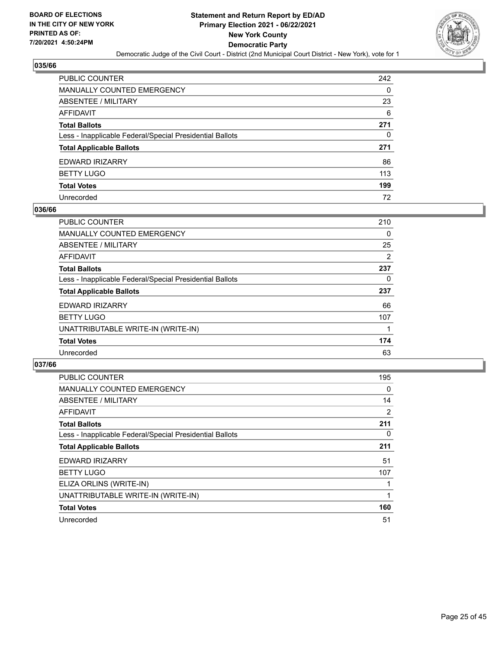

| PUBLIC COUNTER                                           | 242 |
|----------------------------------------------------------|-----|
| MANUALLY COUNTED EMERGENCY                               | 0   |
| ABSENTEE / MILITARY                                      | 23  |
| AFFIDAVIT                                                | 6   |
| <b>Total Ballots</b>                                     | 271 |
| Less - Inapplicable Federal/Special Presidential Ballots | 0   |
| <b>Total Applicable Ballots</b>                          | 271 |
| EDWARD IRIZARRY                                          | 86  |
| BETTY LUGO                                               | 113 |
| <b>Total Votes</b>                                       | 199 |
| Unrecorded                                               | 72  |

#### **036/66**

| <b>PUBLIC COUNTER</b>                                    | 210 |
|----------------------------------------------------------|-----|
| MANUALLY COUNTED EMERGENCY                               | 0   |
| ABSENTEE / MILITARY                                      | 25  |
| <b>AFFIDAVIT</b>                                         | 2   |
| <b>Total Ballots</b>                                     | 237 |
| Less - Inapplicable Federal/Special Presidential Ballots | 0   |
| <b>Total Applicable Ballots</b>                          | 237 |
| <b>EDWARD IRIZARRY</b>                                   | 66  |
| <b>BETTY LUGO</b>                                        | 107 |
| UNATTRIBUTABLE WRITE-IN (WRITE-IN)                       |     |
| <b>Total Votes</b>                                       | 174 |
| Unrecorded                                               | 63  |

| <b>PUBLIC COUNTER</b>                                    | 195 |
|----------------------------------------------------------|-----|
| <b>MANUALLY COUNTED EMERGENCY</b>                        | 0   |
| ABSENTEE / MILITARY                                      | 14  |
| <b>AFFIDAVIT</b>                                         | 2   |
| <b>Total Ballots</b>                                     | 211 |
| Less - Inapplicable Federal/Special Presidential Ballots | 0   |
| <b>Total Applicable Ballots</b>                          | 211 |
| <b>EDWARD IRIZARRY</b>                                   | 51  |
| <b>BETTY LUGO</b>                                        | 107 |
| ELIZA ORLINS (WRITE-IN)                                  |     |
| UNATTRIBUTABLE WRITE-IN (WRITE-IN)                       |     |
| <b>Total Votes</b>                                       | 160 |
| Unrecorded                                               | 51  |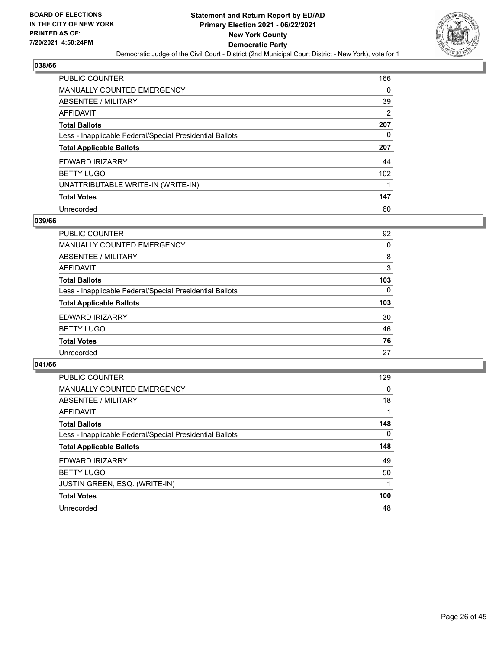

| PUBLIC COUNTER                                           | 166      |
|----------------------------------------------------------|----------|
| <b>MANUALLY COUNTED EMERGENCY</b>                        | $\Omega$ |
| <b>ABSENTEE / MILITARY</b>                               | 39       |
| <b>AFFIDAVIT</b>                                         | 2        |
| <b>Total Ballots</b>                                     | 207      |
| Less - Inapplicable Federal/Special Presidential Ballots | 0        |
| <b>Total Applicable Ballots</b>                          | 207      |
| <b>EDWARD IRIZARRY</b>                                   | 44       |
| <b>BETTY LUGO</b>                                        | 102      |
| UNATTRIBUTABLE WRITE-IN (WRITE-IN)                       |          |
| <b>Total Votes</b>                                       | 147      |
|                                                          |          |

#### **039/66**

| <b>PUBLIC COUNTER</b>                                    | 92       |
|----------------------------------------------------------|----------|
| <b>MANUALLY COUNTED EMERGENCY</b>                        | 0        |
| ABSENTEE / MILITARY                                      | 8        |
| <b>AFFIDAVIT</b>                                         | 3        |
| <b>Total Ballots</b>                                     | 103      |
| Less - Inapplicable Federal/Special Presidential Ballots | $\Omega$ |
| <b>Total Applicable Ballots</b>                          | 103      |
| EDWARD IRIZARRY                                          | 30       |
| <b>BETTY LUGO</b>                                        | 46       |
| <b>Total Votes</b>                                       | 76       |
| Unrecorded                                               | 27       |

| PUBLIC COUNTER                                           | 129      |
|----------------------------------------------------------|----------|
| <b>MANUALLY COUNTED EMERGENCY</b>                        | 0        |
| ABSENTEE / MILITARY                                      | 18       |
| <b>AFFIDAVIT</b>                                         |          |
| <b>Total Ballots</b>                                     | 148      |
| Less - Inapplicable Federal/Special Presidential Ballots | $\Omega$ |
| <b>Total Applicable Ballots</b>                          | 148      |
| <b>EDWARD IRIZARRY</b>                                   | 49       |
| <b>BETTY LUGO</b>                                        | 50       |
| <b>JUSTIN GREEN, ESQ. (WRITE-IN)</b>                     |          |
| <b>Total Votes</b>                                       | 100      |
| Unrecorded                                               | 48       |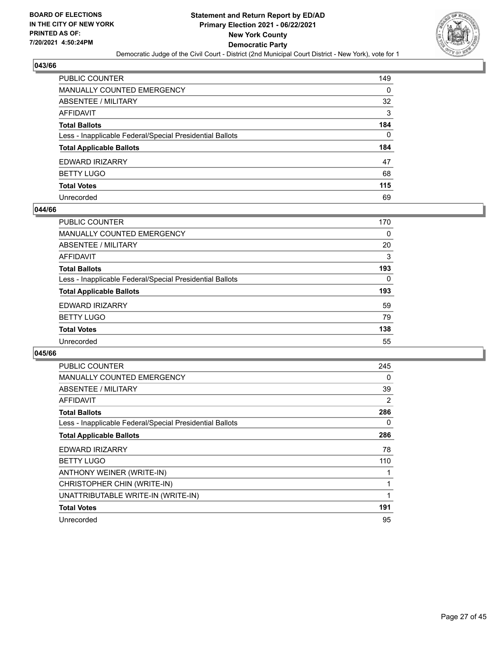

| PUBLIC COUNTER                                           | 149      |
|----------------------------------------------------------|----------|
| MANUALLY COUNTED EMERGENCY                               | 0        |
| ABSENTEE / MILITARY                                      | 32       |
| AFFIDAVIT                                                | 3        |
| Total Ballots                                            | 184      |
| Less - Inapplicable Federal/Special Presidential Ballots | $\Omega$ |
| <b>Total Applicable Ballots</b>                          | 184      |
| EDWARD IRIZARRY                                          | 47       |
| <b>BETTY LUGO</b>                                        | 68       |
| <b>Total Votes</b>                                       | 115      |
| Unrecorded                                               | 69       |

#### **044/66**

| PUBLIC COUNTER                                           | 170      |
|----------------------------------------------------------|----------|
| <b>MANUALLY COUNTED EMERGENCY</b>                        | $\Omega$ |
| ABSENTEE / MILITARY                                      | 20       |
| AFFIDAVIT                                                | 3        |
| <b>Total Ballots</b>                                     | 193      |
| Less - Inapplicable Federal/Special Presidential Ballots | $\Omega$ |
| <b>Total Applicable Ballots</b>                          | 193      |
| <b>EDWARD IRIZARRY</b>                                   | 59       |
| <b>BETTY LUGO</b>                                        | 79       |
| <b>Total Votes</b>                                       | 138      |
| Unrecorded                                               | 55       |

| <b>PUBLIC COUNTER</b>                                    | 245 |
|----------------------------------------------------------|-----|
| <b>MANUALLY COUNTED EMERGENCY</b>                        | 0   |
| ABSENTEE / MILITARY                                      | 39  |
| <b>AFFIDAVIT</b>                                         | 2   |
| <b>Total Ballots</b>                                     | 286 |
| Less - Inapplicable Federal/Special Presidential Ballots | 0   |
| <b>Total Applicable Ballots</b>                          | 286 |
| <b>EDWARD IRIZARRY</b>                                   | 78  |
| <b>BETTY LUGO</b>                                        | 110 |
| ANTHONY WEINER (WRITE-IN)                                |     |
| CHRISTOPHER CHIN (WRITE-IN)                              |     |
| UNATTRIBUTABLE WRITE-IN (WRITE-IN)                       |     |
|                                                          |     |
| <b>Total Votes</b>                                       | 191 |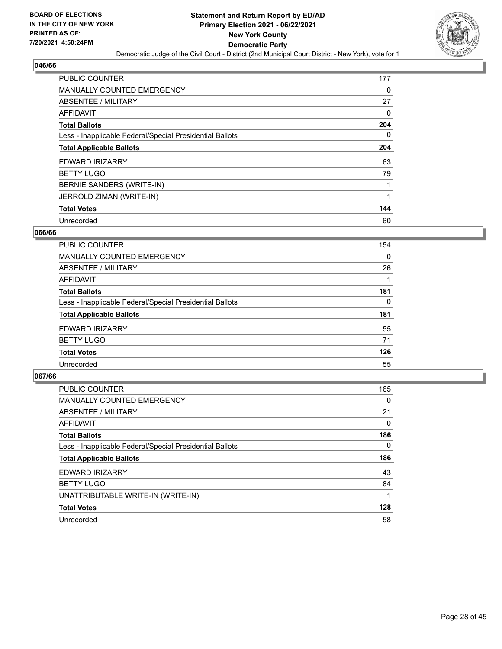

| <b>PUBLIC COUNTER</b>                                    | 177      |
|----------------------------------------------------------|----------|
| <b>MANUALLY COUNTED EMERGENCY</b>                        | 0        |
| ABSENTEE / MILITARY                                      | 27       |
| AFFIDAVIT                                                | 0        |
| <b>Total Ballots</b>                                     | 204      |
| Less - Inapplicable Federal/Special Presidential Ballots | $\Omega$ |
| <b>Total Applicable Ballots</b>                          | 204      |
| EDWARD IRIZARRY                                          | 63       |
| <b>BETTY LUGO</b>                                        | 79       |
| BERNIE SANDERS (WRITE-IN)                                |          |
| JERROLD ZIMAN (WRITE-IN)                                 |          |
| <b>Total Votes</b>                                       | 144      |
| Unrecorded                                               | 60       |

## **066/66**

| PUBLIC COUNTER                                           | 154      |
|----------------------------------------------------------|----------|
| <b>MANUALLY COUNTED EMERGENCY</b>                        | $\Omega$ |
| <b>ABSENTEE / MILITARY</b>                               | 26       |
| <b>AFFIDAVIT</b>                                         |          |
| <b>Total Ballots</b>                                     | 181      |
| Less - Inapplicable Federal/Special Presidential Ballots | $\Omega$ |
| <b>Total Applicable Ballots</b>                          | 181      |
| EDWARD IRIZARRY                                          | 55       |
| <b>BETTY LUGO</b>                                        | 71       |
| <b>Total Votes</b>                                       | 126      |
| Unrecorded                                               | 55       |

| <b>PUBLIC COUNTER</b>                                    | 165      |
|----------------------------------------------------------|----------|
| <b>MANUALLY COUNTED EMERGENCY</b>                        | $\Omega$ |
| ABSENTEE / MILITARY                                      | 21       |
| AFFIDAVIT                                                | $\Omega$ |
| <b>Total Ballots</b>                                     | 186      |
| Less - Inapplicable Federal/Special Presidential Ballots | $\Omega$ |
| <b>Total Applicable Ballots</b>                          | 186      |
| <b>EDWARD IRIZARRY</b>                                   | 43       |
| <b>BETTY LUGO</b>                                        | 84       |
| UNATTRIBUTABLE WRITE-IN (WRITE-IN)                       |          |
| <b>Total Votes</b>                                       | 128      |
| Unrecorded                                               | 58       |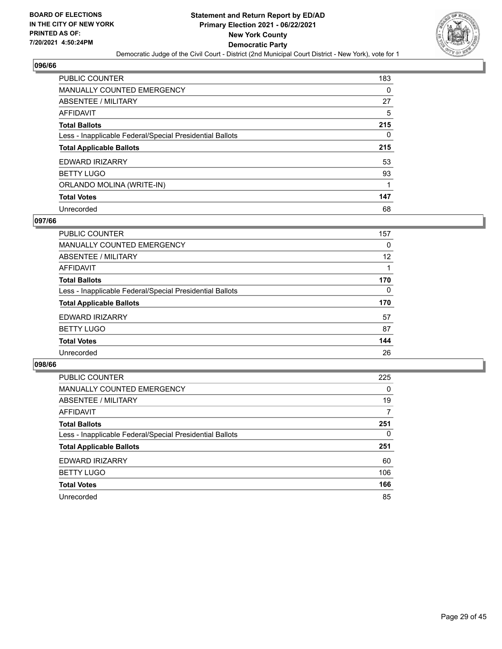

| PUBLIC COUNTER                                           | 183 |
|----------------------------------------------------------|-----|
| <b>MANUALLY COUNTED EMERGENCY</b>                        | 0   |
| ABSENTEE / MILITARY                                      | 27  |
| AFFIDAVIT                                                | 5   |
| <b>Total Ballots</b>                                     | 215 |
| Less - Inapplicable Federal/Special Presidential Ballots | 0   |
| <b>Total Applicable Ballots</b>                          | 215 |
| <b>EDWARD IRIZARRY</b>                                   | 53  |
| <b>BETTY LUGO</b>                                        | 93  |
|                                                          |     |
| ORLANDO MOLINA (WRITE-IN)                                | 1   |
| <b>Total Votes</b>                                       | 147 |

#### **097/66**

| PUBLIC COUNTER                                           | 157      |
|----------------------------------------------------------|----------|
| <b>MANUALLY COUNTED EMERGENCY</b>                        | 0        |
| ABSENTEE / MILITARY                                      | 12       |
| AFFIDAVIT                                                |          |
| <b>Total Ballots</b>                                     | 170      |
| Less - Inapplicable Federal/Special Presidential Ballots | $\Omega$ |
| <b>Total Applicable Ballots</b>                          | 170      |
| <b>EDWARD IRIZARRY</b>                                   | 57       |
| <b>BETTY LUGO</b>                                        | 87       |
| <b>Total Votes</b>                                       | 144      |
| Unrecorded                                               | 26       |

| <b>PUBLIC COUNTER</b>                                    | 225      |
|----------------------------------------------------------|----------|
| MANUALLY COUNTED EMERGENCY                               | $\Omega$ |
| ABSENTEE / MILITARY                                      | 19       |
| AFFIDAVIT                                                | 7        |
| <b>Total Ballots</b>                                     | 251      |
| Less - Inapplicable Federal/Special Presidential Ballots | $\Omega$ |
| <b>Total Applicable Ballots</b>                          | 251      |
| EDWARD IRIZARRY                                          | 60       |
| <b>BETTY LUGO</b>                                        | 106      |
| <b>Total Votes</b>                                       | 166      |
| Unrecorded                                               | 85       |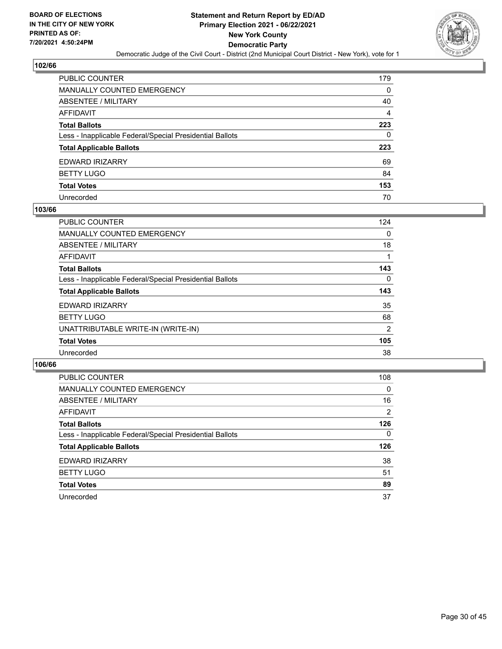

| PUBLIC COUNTER                                           | 179            |
|----------------------------------------------------------|----------------|
| MANUALLY COUNTED EMERGENCY                               | 0              |
| ABSENTEE / MILITARY                                      | 40             |
| AFFIDAVIT                                                | $\overline{4}$ |
| Total Ballots                                            | 223            |
| Less - Inapplicable Federal/Special Presidential Ballots | 0              |
| <b>Total Applicable Ballots</b>                          | 223            |
| EDWARD IRIZARRY                                          | 69             |
| <b>BETTY LUGO</b>                                        | 84             |
| <b>Total Votes</b>                                       | 153            |
| Unrecorded                                               | 70             |

#### **103/66**

| <b>PUBLIC COUNTER</b>                                    | 124      |
|----------------------------------------------------------|----------|
| MANUALLY COUNTED EMERGENCY                               | $\Omega$ |
| ABSENTEE / MILITARY                                      | 18       |
| AFFIDAVIT                                                |          |
| <b>Total Ballots</b>                                     | 143      |
| Less - Inapplicable Federal/Special Presidential Ballots | 0        |
| <b>Total Applicable Ballots</b>                          | 143      |
| EDWARD IRIZARRY                                          | 35       |
| <b>BETTY LUGO</b>                                        | 68       |
| UNATTRIBUTABLE WRITE-IN (WRITE-IN)                       | 2        |
| <b>Total Votes</b>                                       | 105      |
| Unrecorded                                               | 38       |

| <b>PUBLIC COUNTER</b>                                    | 108            |
|----------------------------------------------------------|----------------|
| MANUALLY COUNTED EMERGENCY                               | $\Omega$       |
| ABSENTEE / MILITARY                                      | 16             |
| AFFIDAVIT                                                | $\overline{2}$ |
| <b>Total Ballots</b>                                     | 126            |
| Less - Inapplicable Federal/Special Presidential Ballots | $\Omega$       |
| <b>Total Applicable Ballots</b>                          | 126            |
| EDWARD IRIZARRY                                          | 38             |
| <b>BETTY LUGO</b>                                        | 51             |
| <b>Total Votes</b>                                       | 89             |
| Unrecorded                                               | 37             |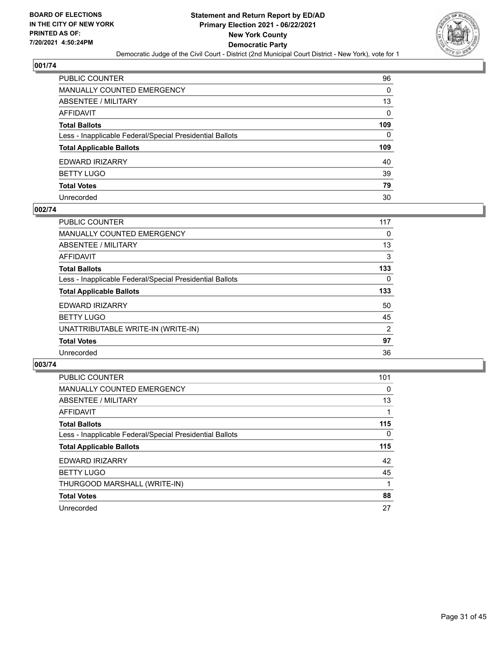

| PUBLIC COUNTER                                           | 96  |
|----------------------------------------------------------|-----|
| MANUALLY COUNTED EMERGENCY                               | 0   |
| ABSENTEE / MILITARY                                      | 13  |
| AFFIDAVIT                                                | 0   |
| Total Ballots                                            | 109 |
| Less - Inapplicable Federal/Special Presidential Ballots | 0   |
| <b>Total Applicable Ballots</b>                          | 109 |
| EDWARD IRIZARRY                                          | 40  |
| <b>BETTY LUGO</b>                                        | 39  |
| <b>Total Votes</b>                                       | 79  |
| Unrecorded                                               |     |

#### **002/74**

| <b>PUBLIC COUNTER</b>                                    | 117 |
|----------------------------------------------------------|-----|
| <b>MANUALLY COUNTED EMERGENCY</b>                        | 0   |
| ABSENTEE / MILITARY                                      | 13  |
| AFFIDAVIT                                                | 3   |
| <b>Total Ballots</b>                                     | 133 |
| Less - Inapplicable Federal/Special Presidential Ballots | 0   |
| <b>Total Applicable Ballots</b>                          | 133 |
| <b>EDWARD IRIZARRY</b>                                   | 50  |
| <b>BETTY LUGO</b>                                        | 45  |
| UNATTRIBUTABLE WRITE-IN (WRITE-IN)                       | 2   |
| <b>Total Votes</b>                                       | 97  |
| Unrecorded                                               | 36  |

| <b>PUBLIC COUNTER</b>                                    | 101 |
|----------------------------------------------------------|-----|
| <b>MANUALLY COUNTED EMERGENCY</b>                        | 0   |
| ABSENTEE / MILITARY                                      | 13  |
| AFFIDAVIT                                                | 1   |
| <b>Total Ballots</b>                                     | 115 |
| Less - Inapplicable Federal/Special Presidential Ballots | 0   |
| <b>Total Applicable Ballots</b>                          | 115 |
| <b>EDWARD IRIZARRY</b>                                   | 42  |
| <b>BETTY LUGO</b>                                        | 45  |
| THURGOOD MARSHALL (WRITE-IN)                             |     |
| <b>Total Votes</b>                                       | 88  |
| Unrecorded                                               | 27  |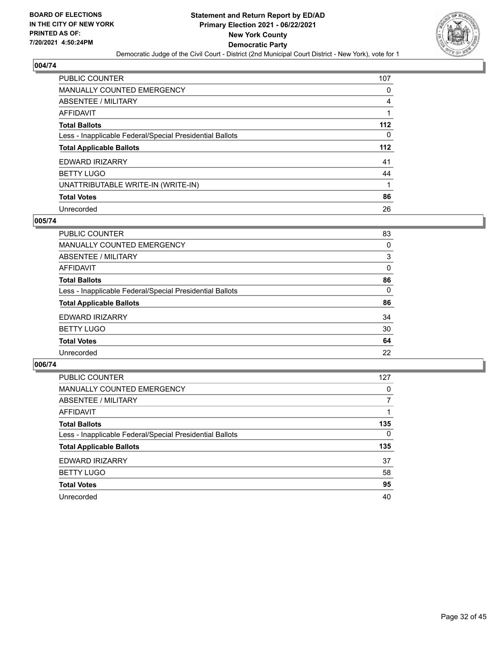

| PUBLIC COUNTER                                           | 107 |
|----------------------------------------------------------|-----|
| <b>MANUALLY COUNTED EMERGENCY</b>                        | 0   |
| ABSENTEE / MILITARY                                      | 4   |
| <b>AFFIDAVIT</b>                                         |     |
| <b>Total Ballots</b>                                     | 112 |
| Less - Inapplicable Federal/Special Presidential Ballots | 0   |
| <b>Total Applicable Ballots</b>                          | 112 |
| <b>EDWARD IRIZARRY</b>                                   | 41  |
| <b>BETTY LUGO</b>                                        | 44  |
| UNATTRIBUTABLE WRITE-IN (WRITE-IN)                       | 1   |
| <b>Total Votes</b>                                       | 86  |
| Unrecorded                                               | 26  |

## **005/74**

| PUBLIC COUNTER                                           | 83       |
|----------------------------------------------------------|----------|
| <b>MANUALLY COUNTED EMERGENCY</b>                        | 0        |
| <b>ABSENTEE / MILITARY</b>                               | 3        |
| AFFIDAVIT                                                | 0        |
| <b>Total Ballots</b>                                     | 86       |
| Less - Inapplicable Federal/Special Presidential Ballots | $\Omega$ |
| <b>Total Applicable Ballots</b>                          | 86       |
| EDWARD IRIZARRY                                          | 34       |
| <b>BETTY LUGO</b>                                        | 30       |
| <b>Total Votes</b>                                       | 64       |
| Unrecorded                                               | 22       |

| <b>PUBLIC COUNTER</b>                                    | 127      |
|----------------------------------------------------------|----------|
| MANUALLY COUNTED EMERGENCY                               | $\Omega$ |
| ABSENTEE / MILITARY                                      | 7        |
| AFFIDAVIT                                                |          |
| <b>Total Ballots</b>                                     | 135      |
| Less - Inapplicable Federal/Special Presidential Ballots | $\Omega$ |
| <b>Total Applicable Ballots</b>                          | 135      |
| EDWARD IRIZARRY                                          | 37       |
| <b>BETTY LUGO</b>                                        | 58       |
| <b>Total Votes</b>                                       | 95       |
| Unrecorded                                               | 40       |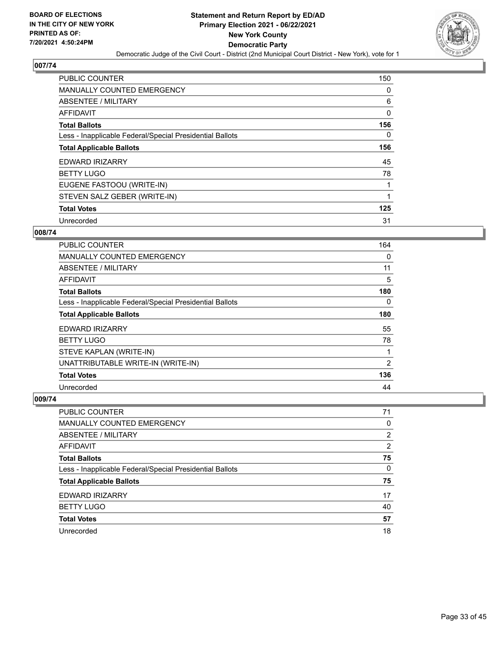

| <b>PUBLIC COUNTER</b>                                    | 150      |
|----------------------------------------------------------|----------|
| <b>MANUALLY COUNTED EMERGENCY</b>                        | 0        |
| ABSENTEE / MILITARY                                      | 6        |
| AFFIDAVIT                                                | 0        |
| <b>Total Ballots</b>                                     | 156      |
| Less - Inapplicable Federal/Special Presidential Ballots | $\Omega$ |
| <b>Total Applicable Ballots</b>                          | 156      |
| <b>EDWARD IRIZARRY</b>                                   | 45       |
| <b>BETTY LUGO</b>                                        | 78       |
| EUGENE FASTOOU (WRITE-IN)                                |          |
| STEVEN SALZ GEBER (WRITE-IN)                             |          |
| <b>Total Votes</b>                                       | 125      |
| Unrecorded                                               | 31       |

#### **008/74**

| <b>PUBLIC COUNTER</b>                                    | 164 |
|----------------------------------------------------------|-----|
| <b>MANUALLY COUNTED EMERGENCY</b>                        | 0   |
| ABSENTEE / MILITARY                                      | 11  |
| <b>AFFIDAVIT</b>                                         | 5   |
| <b>Total Ballots</b>                                     | 180 |
| Less - Inapplicable Federal/Special Presidential Ballots | 0   |
| <b>Total Applicable Ballots</b>                          | 180 |
| <b>EDWARD IRIZARRY</b>                                   | 55  |
| <b>BETTY LUGO</b>                                        | 78  |
| STEVE KAPLAN (WRITE-IN)                                  |     |
| UNATTRIBUTABLE WRITE-IN (WRITE-IN)                       | 2   |
| <b>Total Votes</b>                                       | 136 |
| Unrecorded                                               | 44  |

| <b>PUBLIC COUNTER</b>                                    | 71             |
|----------------------------------------------------------|----------------|
| <b>MANUALLY COUNTED EMERGENCY</b>                        | 0              |
| ABSENTEE / MILITARY                                      | 2              |
| AFFIDAVIT                                                | $\overline{2}$ |
| <b>Total Ballots</b>                                     | 75             |
| Less - Inapplicable Federal/Special Presidential Ballots | $\Omega$       |
| <b>Total Applicable Ballots</b>                          | 75             |
| EDWARD IRIZARRY                                          | 17             |
| <b>BETTY LUGO</b>                                        | 40             |
| <b>Total Votes</b>                                       | 57             |
| Unrecorded                                               | 18             |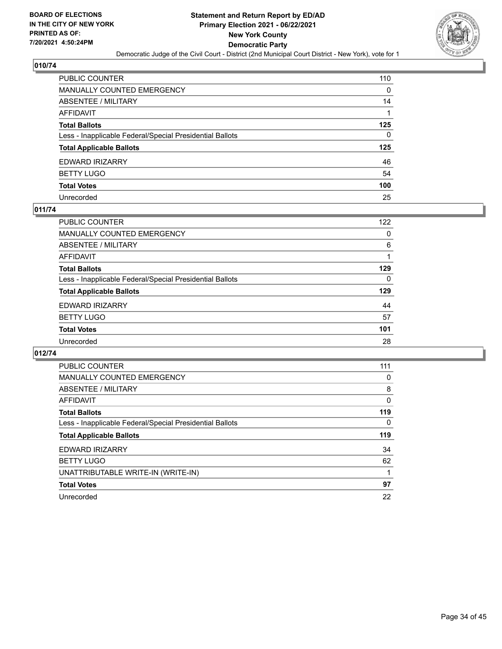

| PUBLIC COUNTER                                           | 110      |
|----------------------------------------------------------|----------|
| MANUALLY COUNTED EMERGENCY                               | 0        |
| ABSENTEE / MILITARY                                      | 14       |
| AFFIDAVIT                                                |          |
| Total Ballots                                            | 125      |
| Less - Inapplicable Federal/Special Presidential Ballots | $\Omega$ |
| <b>Total Applicable Ballots</b>                          | 125      |
| EDWARD IRIZARRY                                          | 46       |
| <b>BETTY LUGO</b>                                        | 54       |
| <b>Total Votes</b>                                       | 100      |
| Unrecorded                                               | 25       |

#### **011/74**

| PUBLIC COUNTER                                           | 122 |
|----------------------------------------------------------|-----|
| <b>MANUALLY COUNTED EMERGENCY</b>                        | 0   |
| ABSENTEE / MILITARY                                      | 6   |
| AFFIDAVIT                                                |     |
| <b>Total Ballots</b>                                     | 129 |
| Less - Inapplicable Federal/Special Presidential Ballots | 0   |
| <b>Total Applicable Ballots</b>                          | 129 |
| EDWARD IRIZARRY                                          | 44  |
| <b>BETTY LUGO</b>                                        | 57  |
| <b>Total Votes</b>                                       | 101 |
| Unrecorded                                               | 28  |

| PUBLIC COUNTER                                           | 111 |
|----------------------------------------------------------|-----|
| <b>MANUALLY COUNTED EMERGENCY</b>                        | 0   |
| ABSENTEE / MILITARY                                      | 8   |
| <b>AFFIDAVIT</b>                                         | 0   |
| <b>Total Ballots</b>                                     | 119 |
| Less - Inapplicable Federal/Special Presidential Ballots | 0   |
| <b>Total Applicable Ballots</b>                          | 119 |
| EDWARD IRIZARRY                                          | 34  |
|                                                          |     |
| <b>BETTY LUGO</b>                                        | 62  |
| UNATTRIBUTABLE WRITE-IN (WRITE-IN)                       |     |
| <b>Total Votes</b>                                       | 97  |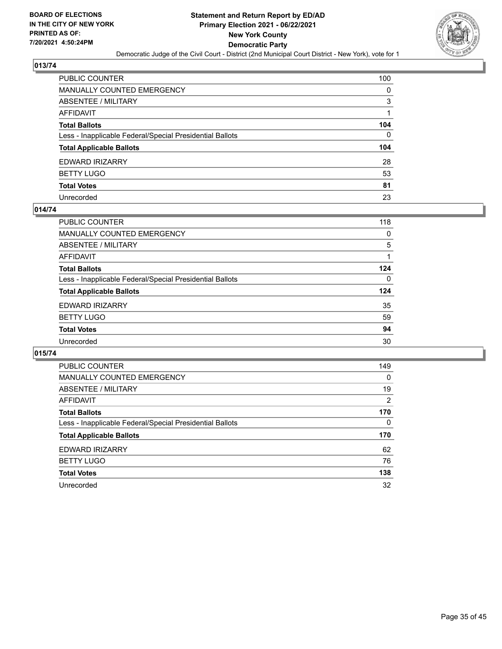

| PUBLIC COUNTER                                           | 100 |
|----------------------------------------------------------|-----|
| MANUALLY COUNTED EMERGENCY                               | 0   |
| ABSENTEE / MILITARY                                      | 3   |
| AFFIDAVIT                                                |     |
| Total Ballots                                            | 104 |
| Less - Inapplicable Federal/Special Presidential Ballots | 0   |
| <b>Total Applicable Ballots</b>                          | 104 |
| EDWARD IRIZARRY                                          | 28  |
| <b>BETTY LUGO</b>                                        | 53  |
| <b>Total Votes</b>                                       | 81  |
| Unrecorded                                               | 23  |

#### **014/74**

| PUBLIC COUNTER                                           | 118 |
|----------------------------------------------------------|-----|
| <b>MANUALLY COUNTED EMERGENCY</b>                        | 0   |
| ABSENTEE / MILITARY                                      | 5   |
| AFFIDAVIT                                                |     |
| <b>Total Ballots</b>                                     | 124 |
| Less - Inapplicable Federal/Special Presidential Ballots | 0   |
| <b>Total Applicable Ballots</b>                          | 124 |
| EDWARD IRIZARRY                                          | 35  |
| <b>BETTY LUGO</b>                                        | 59  |
| <b>Total Votes</b>                                       | 94  |
| Unrecorded                                               | 30  |

| <b>PUBLIC COUNTER</b>                                    | 149      |
|----------------------------------------------------------|----------|
| MANUALLY COUNTED EMERGENCY                               | $\Omega$ |
| ABSENTEE / MILITARY                                      | 19       |
| AFFIDAVIT                                                | 2        |
| <b>Total Ballots</b>                                     | 170      |
| Less - Inapplicable Federal/Special Presidential Ballots | $\Omega$ |
| <b>Total Applicable Ballots</b>                          | 170      |
| EDWARD IRIZARRY                                          | 62       |
| <b>BETTY LUGO</b>                                        | 76       |
| <b>Total Votes</b>                                       | 138      |
| Unrecorded                                               | 32       |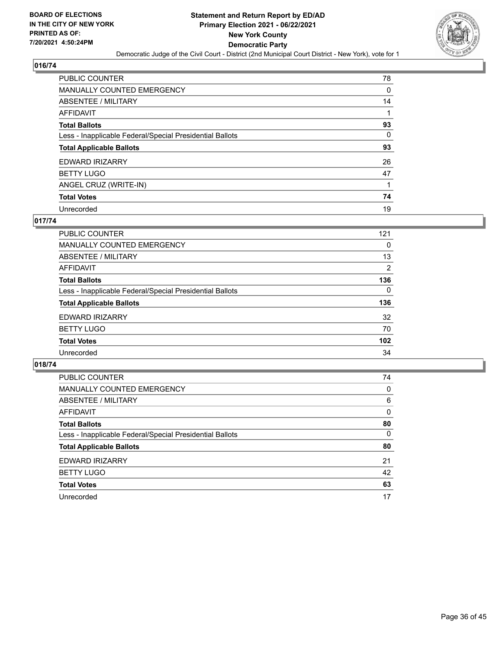

| PUBLIC COUNTER                                           | 78       |
|----------------------------------------------------------|----------|
| <b>MANUALLY COUNTED EMERGENCY</b>                        | 0        |
| ABSENTEE / MILITARY                                      | 14       |
| <b>AFFIDAVIT</b>                                         |          |
| <b>Total Ballots</b>                                     | 93       |
| Less - Inapplicable Federal/Special Presidential Ballots | $\Omega$ |
| <b>Total Applicable Ballots</b>                          | 93       |
| <b>EDWARD IRIZARRY</b>                                   | 26       |
| <b>BETTY LUGO</b>                                        | 47       |
| ANGEL CRUZ (WRITE-IN)                                    |          |
| <b>Total Votes</b>                                       | 74       |
| Unrecorded                                               | 19       |

## **017/74**

| <b>PUBLIC COUNTER</b>                                    | 121      |
|----------------------------------------------------------|----------|
| <b>MANUALLY COUNTED EMERGENCY</b>                        | 0        |
| ABSENTEE / MILITARY                                      | 13       |
| AFFIDAVIT                                                | 2        |
| <b>Total Ballots</b>                                     | 136      |
| Less - Inapplicable Federal/Special Presidential Ballots | $\Omega$ |
| <b>Total Applicable Ballots</b>                          | 136      |
| <b>EDWARD IRIZARRY</b>                                   | 32       |
| <b>BETTY LUGO</b>                                        | 70       |
| <b>Total Votes</b>                                       | 102      |
| Unrecorded                                               | 34       |

| PUBLIC COUNTER                                           | 74       |
|----------------------------------------------------------|----------|
| <b>MANUALLY COUNTED EMERGENCY</b>                        | 0        |
| ABSENTEE / MILITARY                                      | 6        |
| AFFIDAVIT                                                | $\Omega$ |
| <b>Total Ballots</b>                                     | 80       |
| Less - Inapplicable Federal/Special Presidential Ballots | $\Omega$ |
| <b>Total Applicable Ballots</b>                          | 80       |
| EDWARD IRIZARRY                                          | 21       |
| <b>BETTY LUGO</b>                                        | 42       |
| <b>Total Votes</b>                                       | 63       |
| Unrecorded                                               | 17       |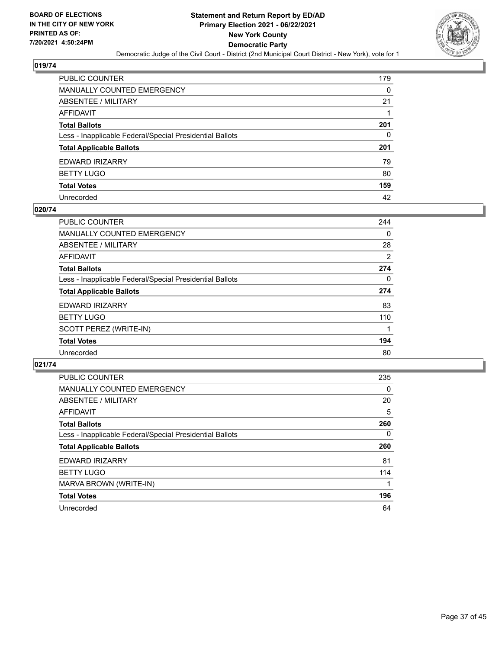

| PUBLIC COUNTER                                           | 179 |
|----------------------------------------------------------|-----|
| MANUALLY COUNTED EMERGENCY                               | 0   |
| <b>ABSENTEE / MILITARY</b>                               | 21  |
| AFFIDAVIT                                                |     |
| Total Ballots                                            | 201 |
| Less - Inapplicable Federal/Special Presidential Ballots | 0   |
| <b>Total Applicable Ballots</b>                          | 201 |
| EDWARD IRIZARRY                                          | 79  |
| <b>BETTY LUGO</b>                                        | 80  |
| <b>Total Votes</b>                                       | 159 |
| Unrecorded                                               | 42  |

#### **020/74**

| <b>PUBLIC COUNTER</b>                                    | 244 |
|----------------------------------------------------------|-----|
| MANUALLY COUNTED EMERGENCY                               | 0   |
| ABSENTEE / MILITARY                                      | 28  |
| AFFIDAVIT                                                | 2   |
| <b>Total Ballots</b>                                     | 274 |
| Less - Inapplicable Federal/Special Presidential Ballots | 0   |
| <b>Total Applicable Ballots</b>                          | 274 |
| EDWARD IRIZARRY                                          | 83  |
| <b>BETTY LUGO</b>                                        | 110 |
| SCOTT PEREZ (WRITE-IN)                                   |     |
| <b>Total Votes</b>                                       | 194 |
| Unrecorded                                               | 80  |

| <b>PUBLIC COUNTER</b>                                    | 235      |
|----------------------------------------------------------|----------|
| <b>MANUALLY COUNTED EMERGENCY</b>                        | 0        |
| ABSENTEE / MILITARY                                      | 20       |
| AFFIDAVIT                                                | 5        |
| <b>Total Ballots</b>                                     | 260      |
| Less - Inapplicable Federal/Special Presidential Ballots | $\Omega$ |
| <b>Total Applicable Ballots</b>                          | 260      |
| EDWARD IRIZARRY                                          | 81       |
| <b>BETTY LUGO</b>                                        | 114      |
| MARVA BROWN (WRITE-IN)                                   |          |
| <b>Total Votes</b>                                       | 196      |
| Unrecorded                                               | 64       |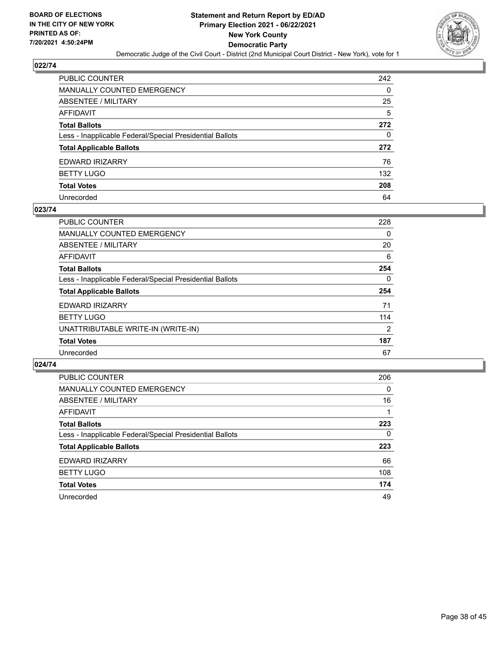

| PUBLIC COUNTER                                           | 242 |
|----------------------------------------------------------|-----|
| MANUALLY COUNTED EMERGENCY                               | 0   |
| <b>ABSENTEE / MILITARY</b>                               | 25  |
| AFFIDAVIT                                                | 5   |
| Total Ballots                                            | 272 |
| Less - Inapplicable Federal/Special Presidential Ballots | 0   |
| <b>Total Applicable Ballots</b>                          | 272 |
| EDWARD IRIZARRY                                          | 76  |
| <b>BETTY LUGO</b>                                        | 132 |
| <b>Total Votes</b>                                       | 208 |
| Unrecorded                                               | 64  |

#### **023/74**

| <b>PUBLIC COUNTER</b>                                    | 228 |
|----------------------------------------------------------|-----|
| MANUALLY COUNTED EMERGENCY                               | 0   |
| ABSENTEE / MILITARY                                      | 20  |
| <b>AFFIDAVIT</b>                                         | 6   |
| <b>Total Ballots</b>                                     | 254 |
| Less - Inapplicable Federal/Special Presidential Ballots | 0   |
| <b>Total Applicable Ballots</b>                          | 254 |
| <b>EDWARD IRIZARRY</b>                                   | 71  |
| <b>BETTY LUGO</b>                                        | 114 |
| UNATTRIBUTABLE WRITE-IN (WRITE-IN)                       | 2   |
| <b>Total Votes</b>                                       | 187 |
| Unrecorded                                               | 67  |

| <b>PUBLIC COUNTER</b>                                    | 206      |
|----------------------------------------------------------|----------|
| MANUALLY COUNTED EMERGENCY                               | $\Omega$ |
| ABSENTEE / MILITARY                                      | 16       |
| AFFIDAVIT                                                |          |
| <b>Total Ballots</b>                                     | 223      |
| Less - Inapplicable Federal/Special Presidential Ballots | 0        |
| <b>Total Applicable Ballots</b>                          | 223      |
| EDWARD IRIZARRY                                          | 66       |
| <b>BETTY LUGO</b>                                        | 108      |
| <b>Total Votes</b>                                       | 174      |
| Unrecorded                                               | 49       |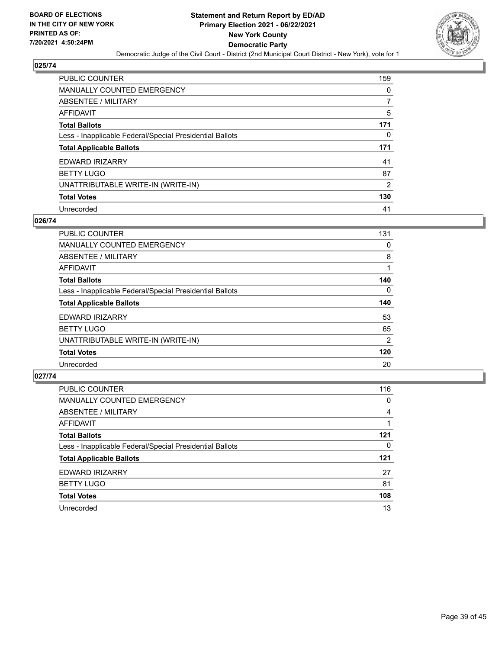

| PUBLIC COUNTER                                           | 159      |
|----------------------------------------------------------|----------|
| <b>MANUALLY COUNTED EMERGENCY</b>                        | $\Omega$ |
| <b>ABSENTEE / MILITARY</b>                               |          |
| <b>AFFIDAVIT</b>                                         | 5        |
| <b>Total Ballots</b>                                     | 171      |
| Less - Inapplicable Federal/Special Presidential Ballots | 0        |
| <b>Total Applicable Ballots</b>                          | 171      |
| <b>EDWARD IRIZARRY</b>                                   | 41       |
| <b>BETTY LUGO</b>                                        | 87       |
| UNATTRIBUTABLE WRITE-IN (WRITE-IN)                       | 2        |
| <b>Total Votes</b>                                       | 130      |
| Unrecorded                                               | 41       |

#### **026/74**

| <b>PUBLIC COUNTER</b>                                    | 131            |
|----------------------------------------------------------|----------------|
| <b>MANUALLY COUNTED EMERGENCY</b>                        | 0              |
| ABSENTEE / MILITARY                                      | 8              |
| <b>AFFIDAVIT</b>                                         |                |
| <b>Total Ballots</b>                                     | 140            |
| Less - Inapplicable Federal/Special Presidential Ballots | $\Omega$       |
| <b>Total Applicable Ballots</b>                          | 140            |
| <b>EDWARD IRIZARRY</b>                                   | 53             |
| <b>BETTY LUGO</b>                                        | 65             |
| UNATTRIBUTABLE WRITE-IN (WRITE-IN)                       | $\overline{2}$ |
| <b>Total Votes</b>                                       | 120            |
| Unrecorded                                               | 20             |

| <b>PUBLIC COUNTER</b>                                    | 116      |
|----------------------------------------------------------|----------|
| <b>MANUALLY COUNTED EMERGENCY</b>                        | $\Omega$ |
| ABSENTEE / MILITARY                                      | 4        |
| AFFIDAVIT                                                |          |
| <b>Total Ballots</b>                                     | 121      |
| Less - Inapplicable Federal/Special Presidential Ballots | 0        |
| <b>Total Applicable Ballots</b>                          | 121      |
| EDWARD IRIZARRY                                          | 27       |
| <b>BETTY LUGO</b>                                        | 81       |
| <b>Total Votes</b>                                       | 108      |
| Unrecorded                                               | 13       |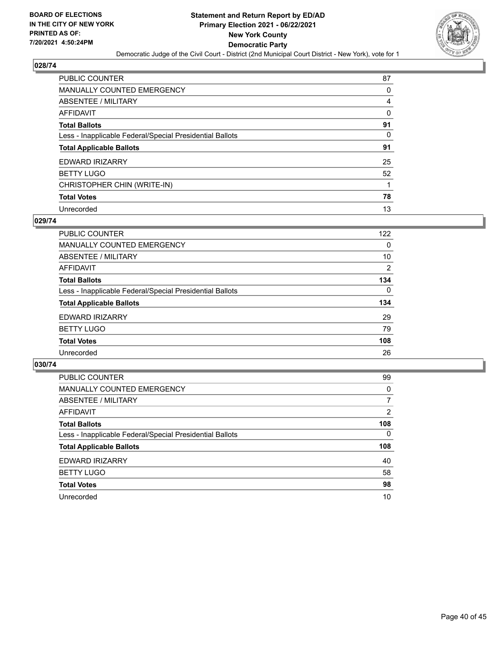

| PUBLIC COUNTER                                           | 87       |
|----------------------------------------------------------|----------|
| <b>MANUALLY COUNTED EMERGENCY</b>                        | 0        |
| <b>ABSENTEE / MILITARY</b>                               | 4        |
| <b>AFFIDAVIT</b>                                         | 0        |
| <b>Total Ballots</b>                                     | 91       |
| Less - Inapplicable Federal/Special Presidential Ballots | $\Omega$ |
| <b>Total Applicable Ballots</b>                          | 91       |
| <b>EDWARD IRIZARRY</b>                                   | 25       |
| <b>BETTY LUGO</b>                                        | 52       |
| CHRISTOPHER CHIN (WRITE-IN)                              |          |
| <b>Total Votes</b>                                       | 78       |
| Unrecorded                                               | 13       |

#### **029/74**

| PUBLIC COUNTER                                           | 122      |
|----------------------------------------------------------|----------|
| MANUALLY COUNTED EMERGENCY                               | 0        |
| ABSENTEE / MILITARY                                      | 10       |
| AFFIDAVIT                                                | 2        |
| <b>Total Ballots</b>                                     | 134      |
| Less - Inapplicable Federal/Special Presidential Ballots | $\Omega$ |
| <b>Total Applicable Ballots</b>                          | 134      |
| <b>EDWARD IRIZARRY</b>                                   | 29       |
| <b>BETTY LUGO</b>                                        | 79       |
| <b>Total Votes</b>                                       | 108      |
| Unrecorded                                               | 26       |

| <b>PUBLIC COUNTER</b>                                    | 99       |
|----------------------------------------------------------|----------|
| MANUALLY COUNTED EMERGENCY                               | $\Omega$ |
| ABSENTEE / MILITARY                                      | 7        |
| AFFIDAVIT                                                | 2        |
| <b>Total Ballots</b>                                     | 108      |
| Less - Inapplicable Federal/Special Presidential Ballots | $\Omega$ |
| <b>Total Applicable Ballots</b>                          | 108      |
| <b>EDWARD IRIZARRY</b>                                   | 40       |
| <b>BETTY LUGO</b>                                        | 58       |
| <b>Total Votes</b>                                       | 98       |
| Unrecorded                                               | 10       |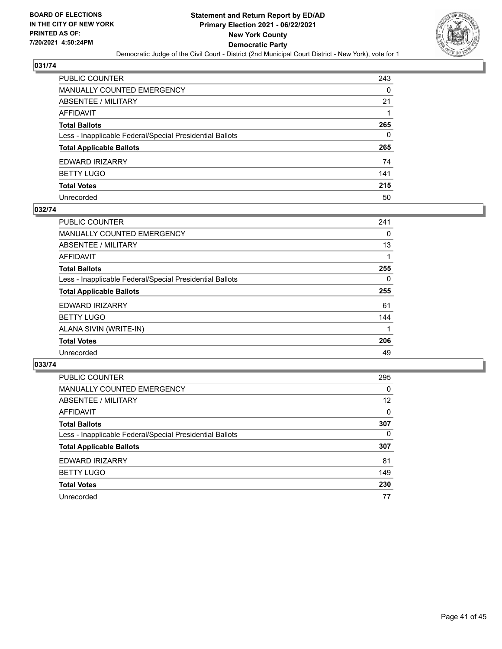

| PUBLIC COUNTER                                           | 243 |
|----------------------------------------------------------|-----|
| MANUALLY COUNTED EMERGENCY                               | 0   |
| ABSENTEE / MILITARY                                      | 21  |
| AFFIDAVIT                                                |     |
| <b>Total Ballots</b>                                     | 265 |
| Less - Inapplicable Federal/Special Presidential Ballots | 0   |
| <b>Total Applicable Ballots</b>                          | 265 |
| EDWARD IRIZARRY                                          | 74  |
| BETTY LUGO                                               | 141 |
| <b>Total Votes</b>                                       | 215 |
| Unrecorded                                               | 50  |

#### **032/74**

| <b>PUBLIC COUNTER</b>                                    | 241 |
|----------------------------------------------------------|-----|
| <b>MANUALLY COUNTED EMERGENCY</b>                        | 0   |
| ABSENTEE / MILITARY                                      | 13  |
| AFFIDAVIT                                                |     |
| <b>Total Ballots</b>                                     | 255 |
| Less - Inapplicable Federal/Special Presidential Ballots | 0   |
| <b>Total Applicable Ballots</b>                          | 255 |
| <b>EDWARD IRIZARRY</b>                                   | 61  |
| <b>BETTY LUGO</b>                                        | 144 |
| ALANA SIVIN (WRITE-IN)                                   |     |
| <b>Total Votes</b>                                       | 206 |
| Unrecorded                                               | 49  |

| <b>PUBLIC COUNTER</b>                                    | 295      |
|----------------------------------------------------------|----------|
| MANUALLY COUNTED EMERGENCY                               | $\Omega$ |
| ABSENTEE / MILITARY                                      | 12       |
| AFFIDAVIT                                                | 0        |
| <b>Total Ballots</b>                                     | 307      |
| Less - Inapplicable Federal/Special Presidential Ballots | $\Omega$ |
| <b>Total Applicable Ballots</b>                          | 307      |
| EDWARD IRIZARRY                                          | 81       |
| <b>BETTY LUGO</b>                                        | 149      |
| <b>Total Votes</b>                                       | 230      |
| Unrecorded                                               | 77       |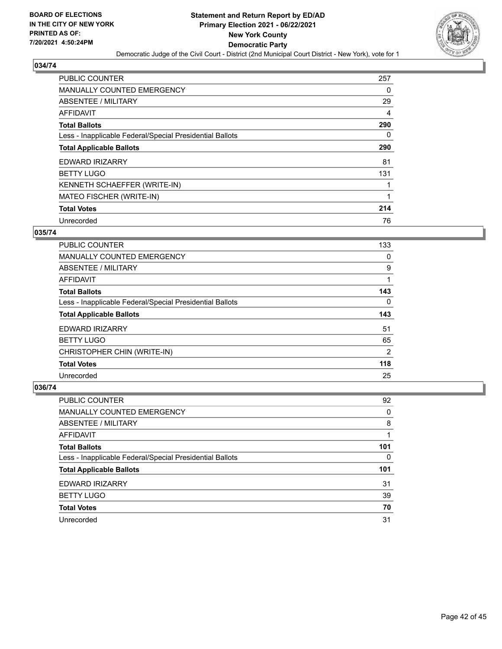

| <b>PUBLIC COUNTER</b>                                    | 257 |
|----------------------------------------------------------|-----|
| <b>MANUALLY COUNTED EMERGENCY</b>                        | 0   |
| ABSENTEE / MILITARY                                      | 29  |
| AFFIDAVIT                                                | 4   |
| <b>Total Ballots</b>                                     | 290 |
| Less - Inapplicable Federal/Special Presidential Ballots | 0   |
| <b>Total Applicable Ballots</b>                          | 290 |
| <b>EDWARD IRIZARRY</b>                                   | 81  |
| <b>BETTY LUGO</b>                                        | 131 |
| KENNETH SCHAEFFER (WRITE-IN)                             |     |
| MATEO FISCHER (WRITE-IN)                                 |     |
| <b>Total Votes</b>                                       | 214 |
| Unrecorded                                               | 76  |

## **035/74**

| <b>PUBLIC COUNTER</b>                                    | 133 |
|----------------------------------------------------------|-----|
| <b>MANUALLY COUNTED EMERGENCY</b>                        | 0   |
| ABSENTEE / MILITARY                                      | 9   |
| AFFIDAVIT                                                |     |
| <b>Total Ballots</b>                                     | 143 |
| Less - Inapplicable Federal/Special Presidential Ballots | 0   |
| <b>Total Applicable Ballots</b>                          | 143 |
| <b>EDWARD IRIZARRY</b>                                   | 51  |
| <b>BETTY LUGO</b>                                        | 65  |
| CHRISTOPHER CHIN (WRITE-IN)                              | 2   |
| <b>Total Votes</b>                                       | 118 |
| Unrecorded                                               | 25  |

| PUBLIC COUNTER                                           | 92       |
|----------------------------------------------------------|----------|
| <b>MANUALLY COUNTED EMERGENCY</b>                        | $\Omega$ |
| ABSENTEE / MILITARY                                      | 8        |
| AFFIDAVIT                                                |          |
| <b>Total Ballots</b>                                     | 101      |
| Less - Inapplicable Federal/Special Presidential Ballots | 0        |
| <b>Total Applicable Ballots</b>                          | 101      |
| EDWARD IRIZARRY                                          | 31       |
| <b>BETTY LUGO</b>                                        | 39       |
| <b>Total Votes</b>                                       | 70       |
| Unrecorded                                               | 31       |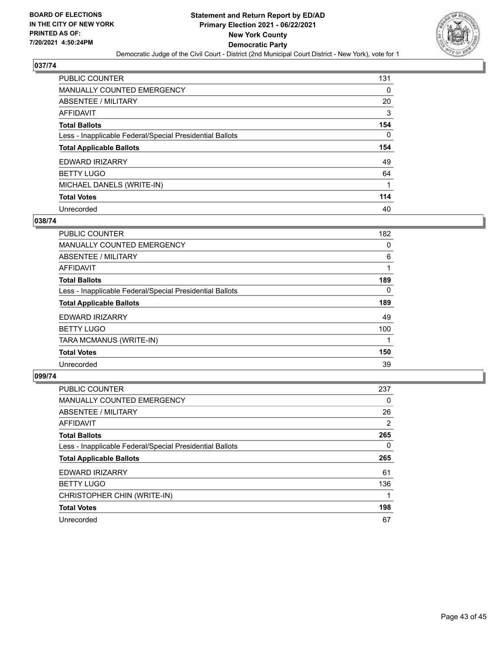

| PUBLIC COUNTER                                           | 131 |
|----------------------------------------------------------|-----|
| MANUALLY COUNTED EMERGENCY                               | 0   |
| ABSENTEE / MILITARY                                      | 20  |
| AFFIDAVIT                                                | 3   |
| <b>Total Ballots</b>                                     | 154 |
| Less - Inapplicable Federal/Special Presidential Ballots | 0   |
| <b>Total Applicable Ballots</b>                          | 154 |
|                                                          |     |
| <b>EDWARD IRIZARRY</b>                                   | 49  |
| <b>BETTY LUGO</b>                                        | 64  |
| MICHAEL DANELS (WRITE-IN)                                | 1   |
| <b>Total Votes</b>                                       | 114 |

#### **038/74**

| <b>PUBLIC COUNTER</b>                                    | 182      |
|----------------------------------------------------------|----------|
| <b>MANUALLY COUNTED EMERGENCY</b>                        | 0        |
| ABSENTEE / MILITARY                                      | 6        |
| <b>AFFIDAVIT</b>                                         |          |
| <b>Total Ballots</b>                                     | 189      |
| Less - Inapplicable Federal/Special Presidential Ballots | $\Omega$ |
| <b>Total Applicable Ballots</b>                          | 189      |
| <b>EDWARD IRIZARRY</b>                                   | 49       |
| <b>BETTY LUGO</b>                                        | 100      |
| TARA MCMANUS (WRITE-IN)                                  |          |
| <b>Total Votes</b>                                       | 150      |
| Unrecorded                                               | 39       |

| <b>PUBLIC COUNTER</b>                                    | 237      |
|----------------------------------------------------------|----------|
| <b>MANUALLY COUNTED EMERGENCY</b>                        | $\Omega$ |
| ABSENTEE / MILITARY                                      | 26       |
| AFFIDAVIT                                                | 2        |
| <b>Total Ballots</b>                                     | 265      |
| Less - Inapplicable Federal/Special Presidential Ballots | $\Omega$ |
| <b>Total Applicable Ballots</b>                          | 265      |
| <b>EDWARD IRIZARRY</b>                                   | 61       |
| <b>BETTY LUGO</b>                                        | 136      |
| CHRISTOPHER CHIN (WRITE-IN)                              |          |
| <b>Total Votes</b>                                       | 198      |
| Unrecorded                                               | 67       |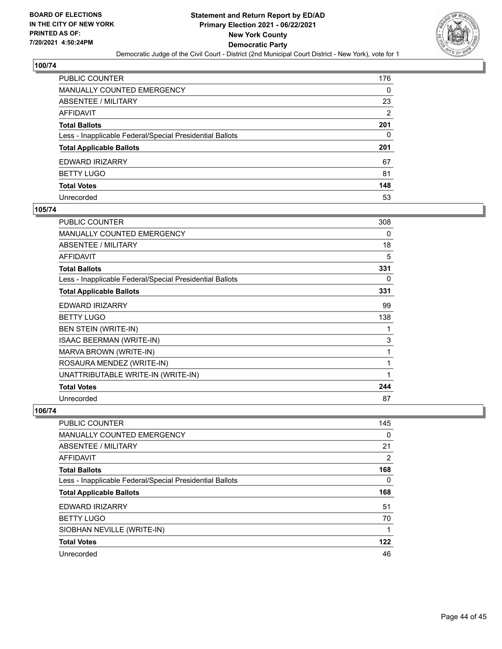

| PUBLIC COUNTER                                           | 176            |
|----------------------------------------------------------|----------------|
| MANUALLY COUNTED EMERGENCY                               | 0              |
| <b>ABSENTEE / MILITARY</b>                               | 23             |
| AFFIDAVIT                                                | $\overline{2}$ |
| Total Ballots                                            | 201            |
| Less - Inapplicable Federal/Special Presidential Ballots | 0              |
| <b>Total Applicable Ballots</b>                          | 201            |
| EDWARD IRIZARRY                                          | 67             |
| <b>BETTY LUGO</b>                                        | 81             |
| <b>Total Votes</b>                                       | 148            |
| Unrecorded                                               | 53             |

#### **105/74**

| <b>PUBLIC COUNTER</b>                                    | 308 |
|----------------------------------------------------------|-----|
| <b>MANUALLY COUNTED EMERGENCY</b>                        | 0   |
| ABSENTEE / MILITARY                                      | 18  |
| <b>AFFIDAVIT</b>                                         | 5   |
| <b>Total Ballots</b>                                     | 331 |
| Less - Inapplicable Federal/Special Presidential Ballots | 0   |
| <b>Total Applicable Ballots</b>                          | 331 |
| EDWARD IRIZARRY                                          | 99  |
| <b>BETTY LUGO</b>                                        | 138 |
| <b>BEN STEIN (WRITE-IN)</b>                              | 1   |
| ISAAC BEERMAN (WRITE-IN)                                 | 3   |
| MARVA BROWN (WRITE-IN)                                   | 1   |
| ROSAURA MENDEZ (WRITE-IN)                                | 1   |
| UNATTRIBUTABLE WRITE-IN (WRITE-IN)                       | 1   |
| <b>Total Votes</b>                                       | 244 |
| Unrecorded                                               | 87  |

| PUBLIC COUNTER                                           | 145            |
|----------------------------------------------------------|----------------|
| <b>MANUALLY COUNTED EMERGENCY</b>                        | 0              |
| ABSENTEE / MILITARY                                      | 21             |
| AFFIDAVIT                                                | $\overline{2}$ |
| <b>Total Ballots</b>                                     | 168            |
| Less - Inapplicable Federal/Special Presidential Ballots | $\Omega$       |
| <b>Total Applicable Ballots</b>                          | 168            |
| EDWARD IRIZARRY                                          | 51             |
| <b>BETTY LUGO</b>                                        | 70             |
| SIOBHAN NEVILLE (WRITE-IN)                               |                |
| <b>Total Votes</b>                                       | 122            |
| Unrecorded                                               | 46             |